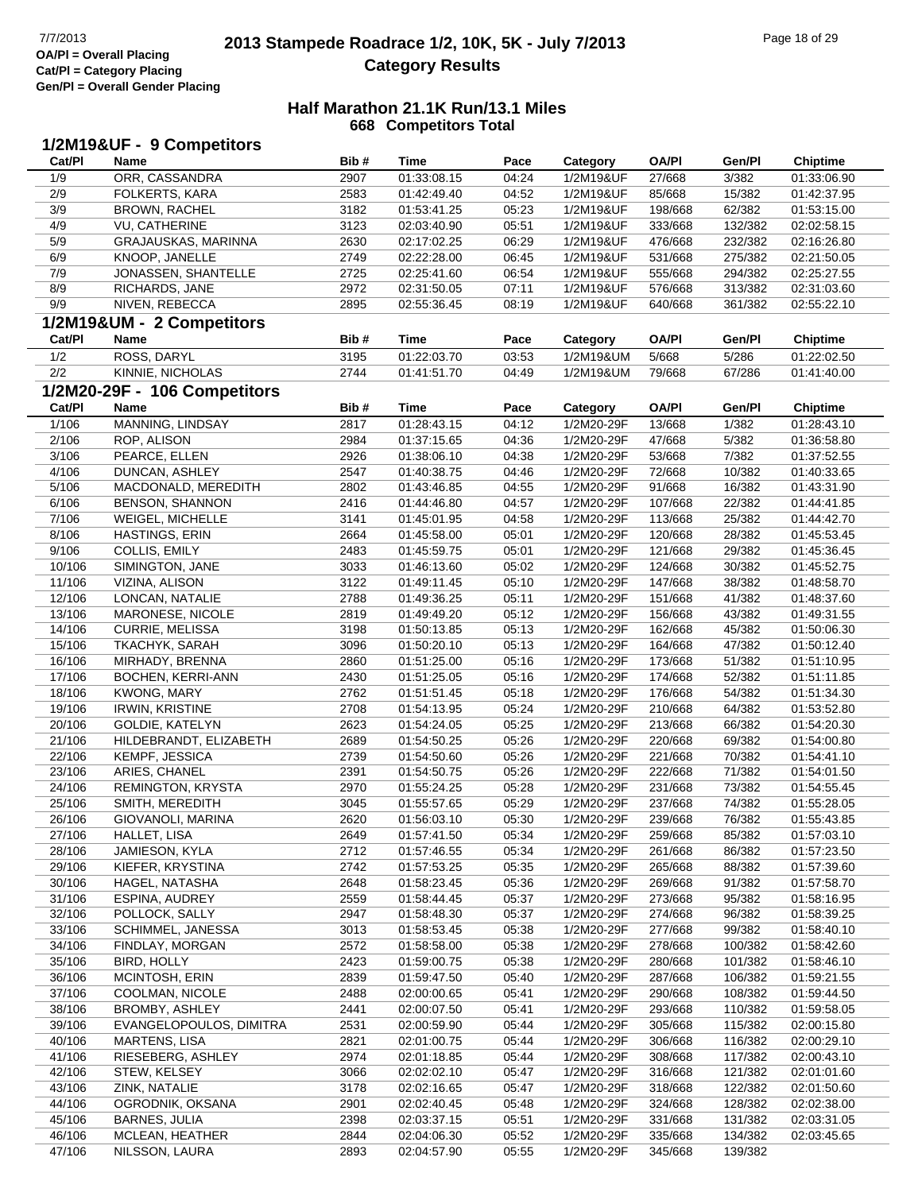### **2013 Stampede Roadrace 1/2, 10K, 5K - July 7/2013** Page 18 of 29 Page 18 of 29 **Category Results**

| Cat/PI | 1/2M19&UF - 9 Competitors<br>Name | Bib# | <b>Time</b> | Pace  | Category   | <b>OA/PI</b> | Gen/Pl  | <b>Chiptime</b> |
|--------|-----------------------------------|------|-------------|-------|------------|--------------|---------|-----------------|
| 1/9    | ORR, CASSANDRA                    | 2907 | 01:33:08.15 | 04:24 | 1/2M19&UF  | 27/668       | 3/382   | 01:33:06.90     |
| 2/9    | FOLKERTS, KARA                    | 2583 | 01:42:49.40 | 04:52 | 1/2M19&UF  | 85/668       | 15/382  | 01:42:37.95     |
| 3/9    | <b>BROWN, RACHEL</b>              | 3182 | 01:53:41.25 | 05:23 | 1/2M19&UF  | 198/668      | 62/382  | 01:53:15.00     |
| 4/9    | <b>VU, CATHERINE</b>              | 3123 | 02:03:40.90 | 05:51 | 1/2M19&UF  | 333/668      | 132/382 | 02:02:58.15     |
| 5/9    | GRAJAUSKAS, MARINNA               | 2630 | 02:17:02.25 | 06:29 | 1/2M19&UF  | 476/668      | 232/382 | 02:16:26.80     |
| 6/9    | KNOOP, JANELLE                    | 2749 | 02:22:28.00 | 06:45 | 1/2M19&UF  | 531/668      | 275/382 | 02:21:50.05     |
| 7/9    | JONASSEN, SHANTELLE               | 2725 | 02:25:41.60 | 06:54 | 1/2M19&UF  | 555/668      | 294/382 | 02:25:27.55     |
| 8/9    | RICHARDS, JANE                    | 2972 | 02:31:50.05 | 07:11 | 1/2M19&UF  | 576/668      | 313/382 | 02:31:03.60     |
| 9/9    | NIVEN, REBECCA                    | 2895 | 02:55:36.45 | 08:19 | 1/2M19&UF  | 640/668      | 361/382 | 02:55:22.10     |
|        | 1/2M19&UM - 2 Competitors         |      |             |       |            |              |         |                 |
|        |                                   |      |             |       |            |              |         |                 |
| Cat/PI | Name                              | Bib# | <b>Time</b> | Pace  | Category   | <b>OA/PI</b> | Gen/Pl  | <b>Chiptime</b> |
| 1/2    | ROSS, DARYL                       | 3195 | 01:22:03.70 | 03:53 | 1/2M19&UM  | 5/668        | 5/286   | 01:22:02.50     |
| 2/2    | KINNIE, NICHOLAS                  | 2744 | 01:41:51.70 | 04:49 | 1/2M19&UM  | 79/668       | 67/286  | 01:41:40.00     |
|        | 1/2M20-29F - 106 Competitors      |      |             |       |            |              |         |                 |
| Cat/PI | Name                              | Bib# | <b>Time</b> | Pace  | Category   | <b>OA/PI</b> | Gen/Pl  | <b>Chiptime</b> |
| 1/106  | MANNING, LINDSAY                  | 2817 | 01:28:43.15 | 04:12 | 1/2M20-29F | 13/668       | 1/382   | 01:28:43.10     |
| 2/106  | ROP, ALISON                       | 2984 | 01:37:15.65 | 04:36 | 1/2M20-29F | 47/668       | 5/382   | 01:36:58.80     |
| 3/106  | PEARCE, ELLEN                     | 2926 | 01:38:06.10 | 04:38 | 1/2M20-29F | 53/668       | 7/382   | 01:37:52.55     |
| 4/106  | DUNCAN, ASHLEY                    | 2547 | 01:40:38.75 | 04:46 | 1/2M20-29F | 72/668       | 10/382  | 01:40:33.65     |
| 5/106  | MACDONALD, MEREDITH               | 2802 | 01:43:46.85 | 04:55 | 1/2M20-29F | 91/668       | 16/382  | 01:43:31.90     |
| 6/106  | <b>BENSON, SHANNON</b>            | 2416 | 01:44:46.80 | 04:57 | 1/2M20-29F | 107/668      | 22/382  | 01:44:41.85     |
| 7/106  | WEIGEL, MICHELLE                  | 3141 | 01:45:01.95 | 04:58 | 1/2M20-29F | 113/668      | 25/382  | 01:44:42.70     |
| 8/106  | <b>HASTINGS, ERIN</b>             | 2664 | 01:45:58.00 | 05:01 | 1/2M20-29F | 120/668      | 28/382  | 01:45:53.45     |
| 9/106  | COLLIS, EMILY                     | 2483 | 01:45:59.75 | 05:01 | 1/2M20-29F | 121/668      | 29/382  | 01:45:36.45     |
| 10/106 | SIMINGTON, JANE                   | 3033 | 01:46:13.60 | 05:02 | 1/2M20-29F | 124/668      | 30/382  | 01:45:52.75     |
| 11/106 | VIZINA, ALISON                    | 3122 | 01:49:11.45 | 05:10 | 1/2M20-29F | 147/668      | 38/382  | 01:48:58.70     |
| 12/106 | LONCAN, NATALIE                   | 2788 | 01:49:36.25 | 05:11 | 1/2M20-29F | 151/668      | 41/382  | 01:48:37.60     |
| 13/106 | MARONESE, NICOLE                  | 2819 | 01:49:49.20 | 05:12 | 1/2M20-29F | 156/668      | 43/382  | 01:49:31.55     |
| 14/106 | <b>CURRIE, MELISSA</b>            | 3198 | 01:50:13.85 | 05:13 | 1/2M20-29F | 162/668      | 45/382  | 01:50:06.30     |
| 15/106 | TKACHYK, SARAH                    | 3096 | 01:50:20.10 | 05:13 | 1/2M20-29F | 164/668      | 47/382  | 01:50:12.40     |
| 16/106 | MIRHADY, BRENNA                   | 2860 | 01:51:25.00 | 05:16 | 1/2M20-29F | 173/668      | 51/382  | 01:51:10.95     |
| 17/106 | BOCHEN, KERRI-ANN                 | 2430 | 01:51:25.05 | 05:16 | 1/2M20-29F | 174/668      | 52/382  | 01:51:11.85     |
| 18/106 | <b>KWONG, MARY</b>                | 2762 | 01:51:51.45 | 05:18 | 1/2M20-29F | 176/668      | 54/382  | 01:51:34.30     |
| 19/106 | <b>IRWIN, KRISTINE</b>            | 2708 | 01:54:13.95 | 05:24 | 1/2M20-29F | 210/668      | 64/382  | 01:53:52.80     |
| 20/106 | <b>GOLDIE, KATELYN</b>            | 2623 | 01:54:24.05 | 05:25 | 1/2M20-29F | 213/668      | 66/382  | 01:54:20.30     |
| 21/106 | HILDEBRANDT, ELIZABETH            | 2689 | 01:54:50.25 | 05:26 | 1/2M20-29F | 220/668      | 69/382  | 01:54:00.80     |
| 22/106 | KEMPF, JESSICA                    | 2739 | 01:54:50.60 | 05:26 | 1/2M20-29F | 221/668      | 70/382  | 01:54:41.10     |
| 23/106 | ARIES, CHANEL                     | 2391 | 01:54:50.75 | 05:26 | 1/2M20-29F | 222/668      | 71/382  | 01:54:01.50     |
| 24/106 | REMINGTON, KRYSTA                 | 2970 | 01:55:24.25 | 05:28 | 1/2M20-29F | 231/668      | 73/382  | 01:54:55.45     |
| 25/106 | SMITH, MEREDITH                   | 3045 | 01:55:57.65 | 05:29 | 1/2M20-29F | 237/668      | 74/382  | 01:55:28.05     |
| 26/106 | GIOVANOLI, MARINA                 | 2620 | 01:56:03.10 | 05:30 | 1/2M20-29F | 239/668      | 76/382  | 01:55:43.85     |
| 27/106 | HALLET, LISA                      | 2649 | 01:57:41.50 | 05:34 | 1/2M20-29F | 259/668      | 85/382  | 01:57:03.10     |
| 28/106 | JAMIESON, KYLA                    | 2712 | 01:57:46.55 | 05:34 | 1/2M20-29F | 261/668      | 86/382  | 01:57:23.50     |
| 29/106 | KIEFER, KRYSTINA                  | 2742 | 01:57:53.25 | 05:35 | 1/2M20-29F | 265/668      | 88/382  | 01:57:39.60     |
| 30/106 | HAGEL, NATASHA                    | 2648 | 01:58:23.45 | 05:36 | 1/2M20-29F | 269/668      | 91/382  | 01:57:58.70     |
| 31/106 | ESPINA, AUDREY                    | 2559 | 01:58:44.45 | 05:37 | 1/2M20-29F | 273/668      | 95/382  | 01:58:16.95     |
| 32/106 | POLLOCK, SALLY                    | 2947 | 01:58:48.30 | 05:37 | 1/2M20-29F | 274/668      | 96/382  | 01:58:39.25     |
| 33/106 | SCHIMMEL, JANESSA                 | 3013 | 01:58:53.45 | 05:38 | 1/2M20-29F | 277/668      | 99/382  | 01:58:40.10     |
| 34/106 | FINDLAY, MORGAN                   | 2572 | 01:58:58.00 | 05:38 | 1/2M20-29F | 278/668      | 100/382 | 01:58:42.60     |
| 35/106 | <b>BIRD, HOLLY</b>                | 2423 | 01:59:00.75 | 05:38 | 1/2M20-29F | 280/668      | 101/382 | 01:58:46.10     |
| 36/106 | MCINTOSH, ERIN                    | 2839 | 01:59:47.50 | 05:40 | 1/2M20-29F | 287/668      | 106/382 | 01:59:21.55     |
| 37/106 | COOLMAN, NICOLE                   | 2488 | 02:00:00.65 | 05:41 | 1/2M20-29F | 290/668      | 108/382 | 01:59:44.50     |
| 38/106 | BROMBY, ASHLEY                    | 2441 | 02:00:07.50 | 05:41 | 1/2M20-29F | 293/668      | 110/382 | 01:59:58.05     |
| 39/106 | EVANGELOPOULOS, DIMITRA           | 2531 | 02:00:59.90 | 05:44 | 1/2M20-29F | 305/668      | 115/382 | 02:00:15.80     |
| 40/106 | <b>MARTENS, LISA</b>              | 2821 | 02:01:00.75 | 05:44 | 1/2M20-29F | 306/668      | 116/382 | 02:00:29.10     |
| 41/106 | RIESEBERG, ASHLEY                 | 2974 | 02:01:18.85 | 05:44 | 1/2M20-29F | 308/668      | 117/382 | 02:00:43.10     |
| 42/106 | STEW, KELSEY                      | 3066 | 02:02:02.10 | 05:47 | 1/2M20-29F | 316/668      | 121/382 | 02:01:01.60     |
| 43/106 | ZINK, NATALIE                     | 3178 | 02:02:16.65 | 05:47 | 1/2M20-29F | 318/668      | 122/382 | 02:01:50.60     |
| 44/106 | OGRODNIK, OKSANA                  | 2901 | 02:02:40.45 | 05:48 | 1/2M20-29F | 324/668      | 128/382 | 02:02:38.00     |
| 45/106 | <b>BARNES, JULIA</b>              | 2398 | 02:03:37.15 | 05:51 | 1/2M20-29F | 331/668      | 131/382 | 02:03:31.05     |
| 46/106 | MCLEAN, HEATHER                   | 2844 | 02:04:06.30 | 05:52 | 1/2M20-29F | 335/668      | 134/382 | 02:03:45.65     |
| 47/106 | NILSSON, LAURA                    | 2893 | 02:04:57.90 | 05:55 | 1/2M20-29F | 345/668      | 139/382 |                 |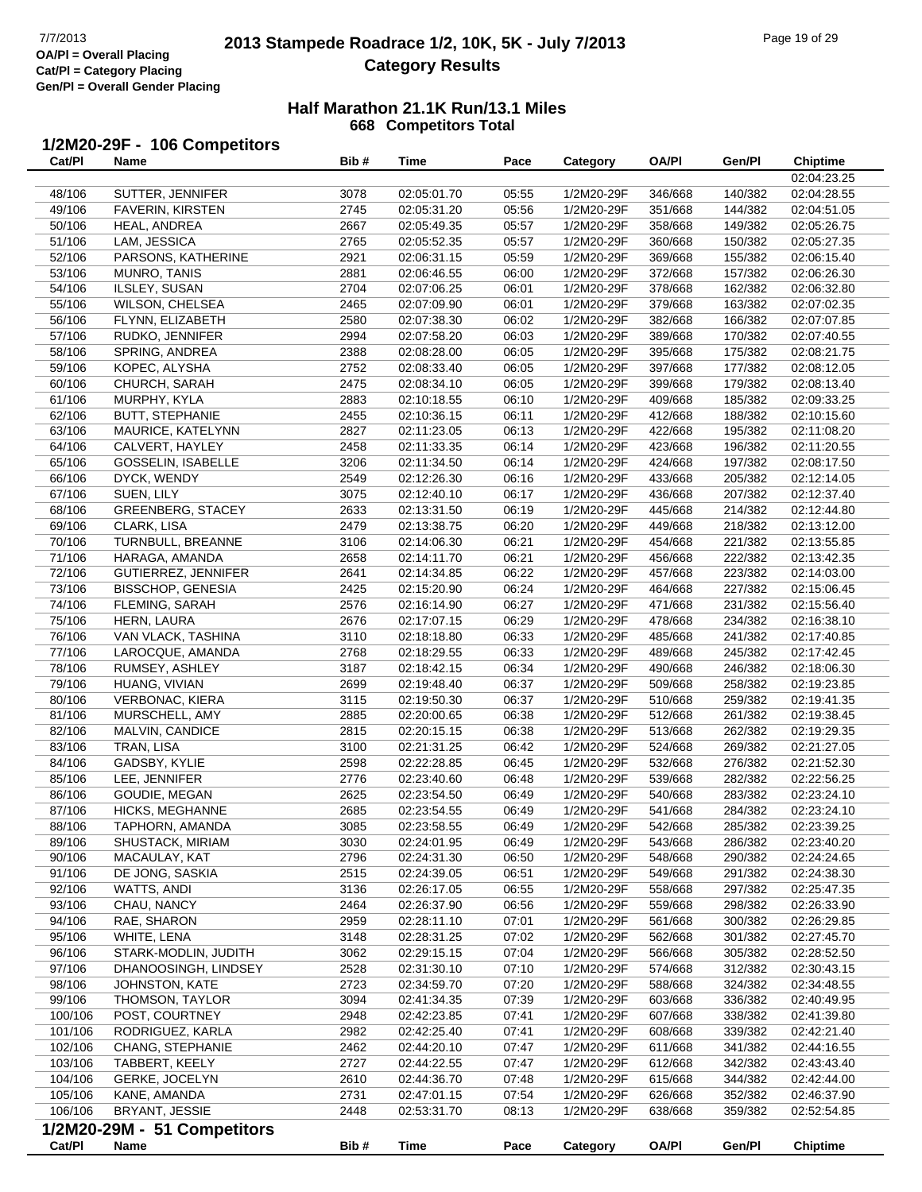### **2013 Stampede Roadrace 1/2, 10K, 5K - July 7/2013** Page 19 of 29 Page 19 of 29 Page 19 of 29 **Category Results**

#### **Half Marathon 21.1K Run/13.1 Miles 668 Competitors Total**

### **1/2M20-29F - 106 Competitors**

| Cat/PI  | Name                        | Bib# | Time        | Pace  | <b>Category</b> | <b>OA/PI</b> | Gen/Pl  | Chiptime        |
|---------|-----------------------------|------|-------------|-------|-----------------|--------------|---------|-----------------|
|         |                             |      |             |       |                 |              |         | 02:04:23.25     |
| 48/106  | SUTTER, JENNIFER            | 3078 | 02:05:01.70 | 05:55 | 1/2M20-29F      | 346/668      | 140/382 | 02:04:28.55     |
| 49/106  | <b>FAVERIN, KIRSTEN</b>     | 2745 | 02:05:31.20 | 05:56 | 1/2M20-29F      | 351/668      | 144/382 | 02:04:51.05     |
| 50/106  | HEAL, ANDREA                | 2667 | 02:05:49.35 | 05:57 | 1/2M20-29F      | 358/668      | 149/382 | 02:05:26.75     |
| 51/106  | LAM, JESSICA                | 2765 | 02:05:52.35 | 05:57 | 1/2M20-29F      | 360/668      | 150/382 | 02:05:27.35     |
|         |                             |      |             |       |                 |              |         |                 |
| 52/106  | PARSONS, KATHERINE          | 2921 | 02:06:31.15 | 05:59 | 1/2M20-29F      | 369/668      | 155/382 | 02:06:15.40     |
| 53/106  | MUNRO, TANIS                | 2881 | 02:06:46.55 | 06:00 | 1/2M20-29F      | 372/668      | 157/382 | 02:06:26.30     |
| 54/106  | ILSLEY, SUSAN               | 2704 | 02:07:06.25 | 06:01 | 1/2M20-29F      | 378/668      | 162/382 | 02:06:32.80     |
| 55/106  | <b>WILSON, CHELSEA</b>      | 2465 | 02:07:09.90 | 06:01 | 1/2M20-29F      | 379/668      | 163/382 | 02:07:02.35     |
| 56/106  | FLYNN, ELIZABETH            | 2580 | 02:07:38.30 | 06:02 | 1/2M20-29F      | 382/668      | 166/382 | 02:07:07.85     |
| 57/106  | RUDKO, JENNIFER             | 2994 | 02:07:58.20 | 06:03 | 1/2M20-29F      | 389/668      | 170/382 | 02:07:40.55     |
| 58/106  | SPRING, ANDREA              | 2388 | 02:08:28.00 | 06:05 | 1/2M20-29F      | 395/668      | 175/382 | 02:08:21.75     |
| 59/106  | KOPEC, ALYSHA               | 2752 | 02:08:33.40 | 06:05 | 1/2M20-29F      | 397/668      | 177/382 | 02:08:12.05     |
| 60/106  | CHURCH, SARAH               | 2475 | 02:08:34.10 | 06:05 | 1/2M20-29F      | 399/668      | 179/382 | 02:08:13.40     |
| 61/106  | MURPHY, KYLA                | 2883 | 02:10:18.55 | 06:10 | 1/2M20-29F      | 409/668      | 185/382 | 02:09:33.25     |
|         |                             |      |             |       |                 |              |         |                 |
| 62/106  | <b>BUTT, STEPHANIE</b>      | 2455 | 02:10:36.15 | 06:11 | 1/2M20-29F      | 412/668      | 188/382 | 02:10:15.60     |
| 63/106  | MAURICE, KATELYNN           | 2827 | 02:11:23.05 | 06:13 | 1/2M20-29F      | 422/668      | 195/382 | 02:11:08.20     |
| 64/106  | CALVERT, HAYLEY             | 2458 | 02:11:33.35 | 06:14 | 1/2M20-29F      | 423/668      | 196/382 | 02:11:20.55     |
| 65/106  | <b>GOSSELIN, ISABELLE</b>   | 3206 | 02:11:34.50 | 06:14 | 1/2M20-29F      | 424/668      | 197/382 | 02:08:17.50     |
| 66/106  | DYCK, WENDY                 | 2549 | 02:12:26.30 | 06:16 | 1/2M20-29F      | 433/668      | 205/382 | 02:12:14.05     |
| 67/106  | SUEN, LILY                  | 3075 | 02:12:40.10 | 06:17 | 1/2M20-29F      | 436/668      | 207/382 | 02:12:37.40     |
| 68/106  | <b>GREENBERG, STACEY</b>    | 2633 | 02:13:31.50 | 06:19 | 1/2M20-29F      | 445/668      | 214/382 | 02:12:44.80     |
| 69/106  | CLARK, LISA                 | 2479 | 02:13:38.75 | 06:20 | 1/2M20-29F      | 449/668      | 218/382 | 02:13:12.00     |
| 70/106  | TURNBULL, BREANNE           | 3106 | 02:14:06.30 | 06:21 | 1/2M20-29F      | 454/668      | 221/382 | 02:13:55.85     |
|         |                             |      |             |       |                 |              |         |                 |
| 71/106  | HARAGA, AMANDA              | 2658 | 02:14:11.70 | 06:21 | 1/2M20-29F      | 456/668      | 222/382 | 02:13:42.35     |
| 72/106  | GUTIERREZ, JENNIFER         | 2641 | 02:14:34.85 | 06:22 | 1/2M20-29F      | 457/668      | 223/382 | 02:14:03.00     |
| 73/106  | <b>BISSCHOP, GENESIA</b>    | 2425 | 02:15:20.90 | 06:24 | 1/2M20-29F      | 464/668      | 227/382 | 02:15:06.45     |
| 74/106  | FLEMING, SARAH              | 2576 | 02:16:14.90 | 06:27 | 1/2M20-29F      | 471/668      | 231/382 | 02:15:56.40     |
| 75/106  | HERN, LAURA                 | 2676 | 02:17:07.15 | 06:29 | 1/2M20-29F      | 478/668      | 234/382 | 02:16:38.10     |
| 76/106  | VAN VLACK, TASHINA          | 3110 | 02:18:18.80 | 06:33 | 1/2M20-29F      | 485/668      | 241/382 | 02:17:40.85     |
| 77/106  | LAROCQUE, AMANDA            | 2768 | 02:18:29.55 | 06:33 | 1/2M20-29F      | 489/668      | 245/382 | 02:17:42.45     |
| 78/106  | RUMSEY, ASHLEY              | 3187 | 02:18:42.15 | 06:34 | 1/2M20-29F      | 490/668      | 246/382 | 02:18:06.30     |
| 79/106  | HUANG, VIVIAN               | 2699 | 02:19:48.40 | 06:37 | 1/2M20-29F      | 509/668      | 258/382 | 02:19:23.85     |
| 80/106  | <b>VERBONAC, KIERA</b>      | 3115 | 02:19:50.30 | 06:37 | 1/2M20-29F      | 510/668      | 259/382 | 02:19:41.35     |
| 81/106  | MURSCHELL, AMY              | 2885 | 02:20:00.65 | 06:38 | 1/2M20-29F      | 512/668      | 261/382 | 02:19:38.45     |
|         |                             |      |             |       |                 |              |         |                 |
| 82/106  | MALVIN, CANDICE             | 2815 | 02:20:15.15 | 06:38 | 1/2M20-29F      | 513/668      | 262/382 | 02:19:29.35     |
| 83/106  | TRAN, LISA                  | 3100 | 02:21:31.25 | 06:42 | 1/2M20-29F      | 524/668      | 269/382 | 02:21:27.05     |
| 84/106  | GADSBY, KYLIE               | 2598 | 02:22:28.85 | 06:45 | 1/2M20-29F      | 532/668      | 276/382 | 02:21:52.30     |
| 85/106  | LEE, JENNIFER               | 2776 | 02:23:40.60 | 06:48 | 1/2M20-29F      | 539/668      | 282/382 | 02:22:56.25     |
| 86/106  | GOUDIE, MEGAN               | 2625 | 02:23:54.50 | 06:49 | 1/2M20-29F      | 540/668      | 283/382 | 02:23:24.10     |
| 87/106  | HICKS, MEGHANNE             | 2685 | 02:23:54.55 | 06:49 | 1/2M20-29F      | 541/668      | 284/382 | 02:23:24.10     |
| 88/106  | TAPHORN, AMANDA             | 3085 | 02:23:58.55 | 06:49 | 1/2M20-29F      | 542/668      | 285/382 | 02:23:39.25     |
| 89/106  | SHUSTACK, MIRIAM            | 3030 | 02:24:01.95 | 06:49 | 1/2M20-29F      | 543/668      | 286/382 | 02:23:40.20     |
| 90/106  | MACAULAY, KAT               | 2796 | 02:24:31.30 | 06:50 | 1/2M20-29F      | 548/668      | 290/382 | 02:24:24.65     |
| 91/106  | DE JONG, SASKIA             | 2515 | 02:24:39.05 | 06:51 | 1/2M20-29F      | 549/668      | 291/382 | 02:24:38.30     |
|         |                             |      |             |       |                 |              |         |                 |
| 92/106  | WATTS, ANDI                 | 3136 | 02:26:17.05 | 06:55 | 1/2M20-29F      | 558/668      | 297/382 | 02:25:47.35     |
| 93/106  | CHAU, NANCY                 | 2464 | 02:26:37.90 | 06:56 | 1/2M20-29F      | 559/668      | 298/382 | 02:26:33.90     |
| 94/106  | RAE, SHARON                 | 2959 | 02:28:11.10 | 07:01 | 1/2M20-29F      | 561/668      | 300/382 | 02:26:29.85     |
| 95/106  | WHITE, LENA                 | 3148 | 02:28:31.25 | 07:02 | 1/2M20-29F      | 562/668      | 301/382 | 02:27:45.70     |
| 96/106  | STARK-MODLIN, JUDITH        | 3062 | 02:29:15.15 | 07:04 | 1/2M20-29F      | 566/668      | 305/382 | 02:28:52.50     |
| 97/106  | DHANOOSINGH, LINDSEY        | 2528 | 02:31:30.10 | 07:10 | 1/2M20-29F      | 574/668      | 312/382 | 02:30:43.15     |
| 98/106  | JOHNSTON, KATE              | 2723 | 02:34:59.70 | 07:20 | 1/2M20-29F      | 588/668      | 324/382 | 02:34:48.55     |
| 99/106  | THOMSON, TAYLOR             | 3094 | 02:41:34.35 | 07:39 | 1/2M20-29F      | 603/668      | 336/382 | 02:40:49.95     |
| 100/106 | POST, COURTNEY              | 2948 | 02:42:23.85 | 07:41 | 1/2M20-29F      | 607/668      | 338/382 | 02:41:39.80     |
| 101/106 | RODRIGUEZ, KARLA            | 2982 | 02:42:25.40 | 07:41 | 1/2M20-29F      | 608/668      | 339/382 | 02:42:21.40     |
|         |                             |      |             |       |                 |              |         |                 |
| 102/106 | CHANG, STEPHANIE            | 2462 | 02:44:20.10 | 07:47 | 1/2M20-29F      | 611/668      | 341/382 | 02:44:16.55     |
| 103/106 | TABBERT, KEELY              | 2727 | 02:44:22.55 | 07:47 | 1/2M20-29F      | 612/668      | 342/382 | 02:43:43.40     |
| 104/106 | GERKE, JOCELYN              | 2610 | 02:44:36.70 | 07:48 | 1/2M20-29F      | 615/668      | 344/382 | 02:42:44.00     |
| 105/106 | KANE, AMANDA                | 2731 | 02:47:01.15 | 07:54 | 1/2M20-29F      | 626/668      | 352/382 | 02:46:37.90     |
| 106/106 | BRYANT, JESSIE              | 2448 | 02:53:31.70 | 08:13 | 1/2M20-29F      | 638/668      | 359/382 | 02:52:54.85     |
|         | 1/2M20-29M - 51 Competitors |      |             |       |                 |              |         |                 |
| Cat/PI  | Name                        | Bib# | <b>Time</b> | Pace  | Category        | OA/PI        | Gen/Pl  | <b>Chiptime</b> |
|         |                             |      |             |       |                 |              |         |                 |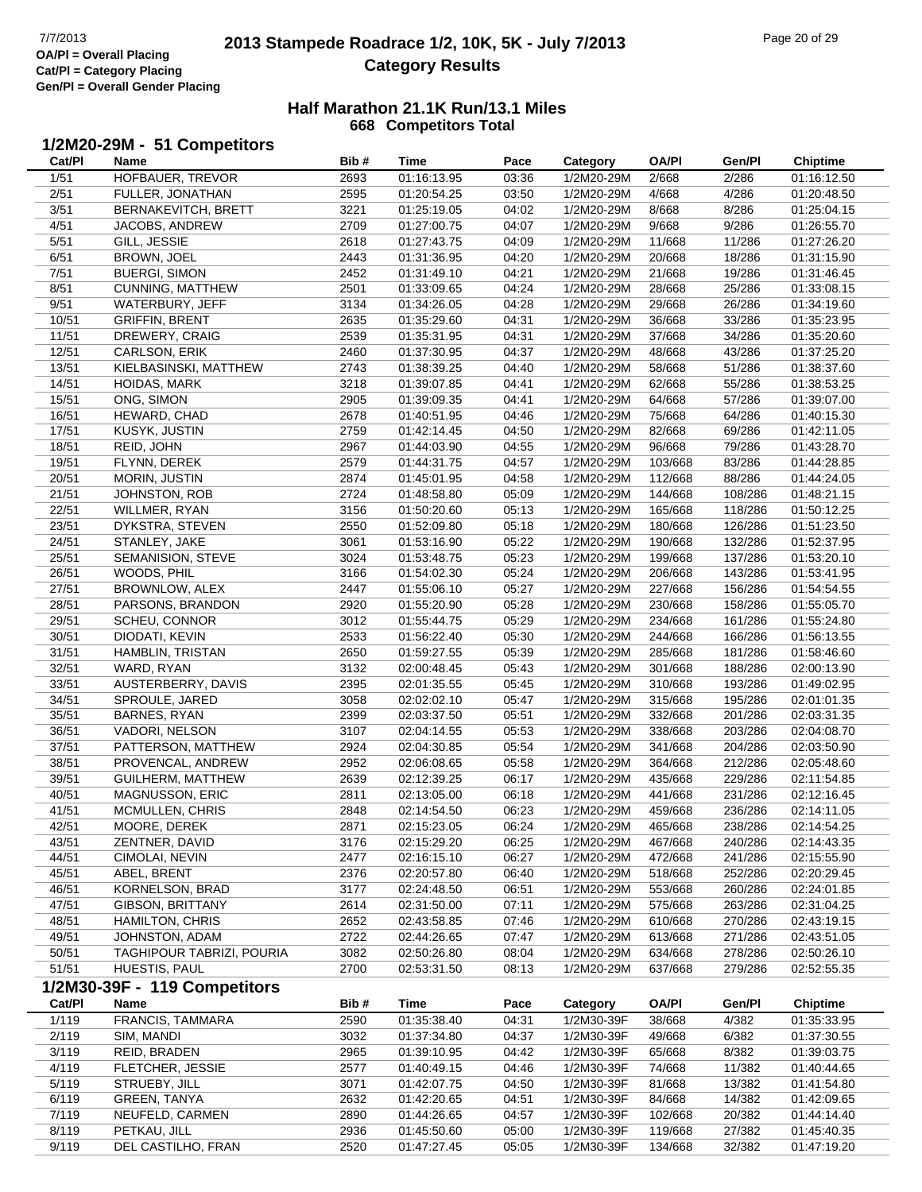### **2013 Stampede Roadrace 1/2, 10K, 5K - July 7/2013** Page 20 of 29 Page 20 of 29 OVER For Alle Reader Act Table 1 **Category Results**

#### **Half Marathon 21.1K Run/13.1 Miles 668 Competitors Total**

### **1/2M20-29M - 51 Competitors**

| Cat/PI         | Name                         | Bib#         | Time                       | Pace           | Category                 | <b>OA/PI</b>     | Gen/Pl           | <b>Chiptime</b> |
|----------------|------------------------------|--------------|----------------------------|----------------|--------------------------|------------------|------------------|-----------------|
| 1/51           | HOFBAUER, TREVOR             | 2693         | 01:16:13.95                | 03:36          | 1/2M20-29M               | 2/668            | 2/286            | 01:16:12.50     |
| 2/51           | FULLER, JONATHAN             | 2595         | 01:20:54.25                | 03:50          | 1/2M20-29M               | 4/668            | 4/286            | 01:20:48.50     |
| 3/51           | BERNAKEVITCH, BRETT          | 3221         | 01:25:19.05                | 04:02          | 1/2M20-29M               | 8/668            | 8/286            | 01:25:04.15     |
| 4/51           | JACOBS, ANDREW               | 2709         | 01:27:00.75                | 04:07          | 1/2M20-29M               | 9/668            | 9/286            | 01:26:55.70     |
| 5/51           | GILL, JESSIE                 | 2618         | 01:27:43.75                | 04:09          | 1/2M20-29M               | 11/668           | 11/286           | 01:27:26.20     |
| 6/51           | BROWN, JOEL                  | 2443         | 01:31:36.95                | 04:20          | 1/2M20-29M               | 20/668           | 18/286           | 01:31:15.90     |
| 7/51           | <b>BUERGI, SIMON</b>         | 2452         | 01:31:49.10                | 04:21          | 1/2M20-29M               | 21/668           | 19/286           | 01:31:46.45     |
| 8/51           | CUNNING, MATTHEW             | 2501         | 01:33:09.65                | 04:24          | 1/2M20-29M               | 28/668           | 25/286           | 01:33:08.15     |
| 9/51           | WATERBURY, JEFF              | 3134         | 01:34:26.05                | 04:28          | 1/2M20-29M               | 29/668           | 26/286           | 01:34:19.60     |
| 10/51          | <b>GRIFFIN, BRENT</b>        | 2635         | 01:35:29.60                | 04:31          | 1/2M20-29M               | 36/668           | 33/286           | 01:35:23.95     |
| 11/51          | DREWERY, CRAIG               | 2539         | 01:35:31.95                | 04:31          | 1/2M20-29M               | 37/668           | 34/286           | 01:35:20.60     |
| 12/51          | CARLSON, ERIK                | 2460         | 01:37:30.95                | 04:37          | 1/2M20-29M               | 48/668           | 43/286           | 01:37:25.20     |
| 13/51          | KIELBASINSKI, MATTHEW        | 2743         | 01:38:39.25                | 04:40          | 1/2M20-29M               | 58/668           | 51/286           | 01:38:37.60     |
| 14/51          | <b>HOIDAS, MARK</b>          | 3218         | 01:39:07.85                | 04:41          | 1/2M20-29M               | 62/668           | 55/286           | 01:38:53.25     |
| 15/51          | ONG, SIMON                   | 2905         | 01:39:09.35                | 04:41          | 1/2M20-29M               | 64/668           | 57/286           | 01:39:07.00     |
| 16/51          | HEWARD, CHAD                 | 2678         | 01:40:51.95                | 04:46          | 1/2M20-29M               | 75/668           | 64/286           | 01:40:15.30     |
| 17/51          | KUSYK, JUSTIN                | 2759         | 01:42:14.45                | 04:50          | 1/2M20-29M               | 82/668           | 69/286           | 01:42:11.05     |
| 18/51          | REID, JOHN                   | 2967         | 01:44:03.90                | 04:55          | 1/2M20-29M               | 96/668           | 79/286           | 01:43:28.70     |
| 19/51          | FLYNN, DEREK                 | 2579         | 01:44:31.75                | 04:57          | 1/2M20-29M               | 103/668          | 83/286           | 01:44:28.85     |
| 20/51          | <b>MORIN, JUSTIN</b>         | 2874         | 01:45:01.95                | 04:58          | 1/2M20-29M               | 112/668          | 88/286           | 01:44:24.05     |
| 21/51          | JOHNSTON, ROB                | 2724         | 01:48:58.80                | 05:09          | 1/2M20-29M               | 144/668          | 108/286          | 01:48:21.15     |
| 22/51          | WILLMER, RYAN                | 3156         | 01:50:20.60                | 05:13          | 1/2M20-29M               | 165/668          | 118/286          | 01:50:12.25     |
| 23/51          | DYKSTRA, STEVEN              | 2550         | 01:52:09.80                | 05:18          | 1/2M20-29M               | 180/668          | 126/286          | 01:51:23.50     |
| 24/51          | STANLEY, JAKE                | 3061         | 01:53:16.90                | 05:22          | 1/2M20-29M               | 190/668          | 132/286          | 01:52:37.95     |
| 25/51          | SEMANISION, STEVE            | 3024         | 01:53:48.75                | 05:23          | 1/2M20-29M               | 199/668          | 137/286          | 01:53:20.10     |
| 26/51          | WOODS, PHIL                  | 3166         | 01:54:02.30                | 05:24          | 1/2M20-29M               | 206/668          | 143/286          | 01:53:41.95     |
| 27/51          | BROWNLOW, ALEX               | 2447         | 01:55:06.10                | 05:27          | 1/2M20-29M               | 227/668          | 156/286          | 01:54:54.55     |
| 28/51          | PARSONS, BRANDON             | 2920         | 01:55:20.90                | 05:28          | 1/2M20-29M               | 230/668          | 158/286          | 01:55:05.70     |
| 29/51          | SCHEU, CONNOR                | 3012         | 01:55:44.75                | 05:29          | 1/2M20-29M               | 234/668          | 161/286          | 01:55:24.80     |
| 30/51          | DIODATI, KEVIN               | 2533         | 01:56:22.40                | 05:30          | 1/2M20-29M               | 244/668          | 166/286          | 01:56:13.55     |
| 31/51          | HAMBLIN, TRISTAN             | 2650         | 01:59:27.55                | 05:39          | 1/2M20-29M               | 285/668          | 181/286          | 01:58:46.60     |
| 32/51          | WARD, RYAN                   | 3132         | 02:00:48.45                | 05:43          | 1/2M20-29M               | 301/668          | 188/286          | 02:00:13.90     |
| 33/51          | AUSTERBERRY, DAVIS           | 2395         | 02:01:35.55                | 05:45          | 1/2M20-29M               | 310/668          | 193/286          | 01:49:02.95     |
| 34/51          | SPROULE, JARED               | 3058         | 02:02:02.10                | 05:47          | 1/2M20-29M               | 315/668          | 195/286          | 02:01:01.35     |
| 35/51          | BARNES, RYAN                 | 2399         | 02:03:37.50                | 05:51          | 1/2M20-29M               | 332/668          | 201/286          | 02:03:31.35     |
| 36/51          | VADORI, NELSON               | 3107         | 02:04:14.55                | 05:53          | 1/2M20-29M               | 338/668          | 203/286          | 02:04:08.70     |
| 37/51          | PATTERSON, MATTHEW           | 2924         | 02:04:30.85                | 05:54          | 1/2M20-29M               | 341/668          | 204/286          | 02:03:50.90     |
| 38/51          | PROVENCAL, ANDREW            | 2952         | 02:06:08.65                | 05:58          | 1/2M20-29M               | 364/668          | 212/286          | 02:05:48.60     |
| 39/51          | <b>GUILHERM, MATTHEW</b>     | 2639         | 02:12:39.25                | 06:17          | 1/2M20-29M               | 435/668          | 229/286          | 02:11:54.85     |
| 40/51          | MAGNUSSON, ERIC              | 2811         | 02:13:05.00                | 06:18          | 1/2M20-29M               | 441/668          | 231/286          | 02:12:16.45     |
| 41/51          | MCMULLEN, CHRIS              | 2848         | 02:14:54.50                | 06:23          | 1/2M20-29M               | 459/668          | 236/286          | 02:14:11.05     |
| 42/51          | MOORE, DEREK                 | 2871         | 02:15:23.05                | 06:24          | 1/2M20-29M               | 465/668          | 238/286          | 02:14:54.25     |
| 43/51          | ZENTNER, DAVID               | 3176         | 02:15:29.20                | 06:25          | 1/2M20-29M               | 467/668          | 240/286          | 02:14:43.35     |
| 44/51          | CIMOLAI, NEVIN               | 2477         | 02:16:15.10                | 06:27          | 1/2M20-29M               | 472/668          | 241/286          | 02:15:55.90     |
| 45/51          | ABEL, BRENT                  | 2376         | 02:20:57.80                | 06:40          | 1/2M20-29M               | 518/668          | 252/286          | 02:20:29.45     |
| 46/51          | KORNELSON, BRAD              | 3177         | 02:24:48.50                | 06:51          | 1/2M20-29M               | 553/668          | 260/286          | 02:24:01.85     |
| 47/51          | <b>GIBSON, BRITTANY</b>      | 2614         | 02:31:50.00                | 07:11          | 1/2M20-29M               | 575/668          | 263/286          | 02:31:04.25     |
| 48/51          | <b>HAMILTON, CHRIS</b>       | 2652         | 02:43:58.85                | 07:46          | 1/2M20-29M               | 610/668          | 270/286          | 02:43:19.15     |
| 49/51          | JOHNSTON, ADAM               | 2722         | 02:44:26.65                | 07:47          | 1/2M20-29M               | 613/668          | 271/286          | 02:43:51.05     |
| 50/51          | TAGHIPOUR TABRIZI, POURIA    | 3082         | 02:50:26.80                | 08:04          | 1/2M20-29M               | 634/668          | 278/286          | 02:50:26.10     |
| 51/51          | HUESTIS, PAUL                | 2700         | 02:53:31.50                | 08:13          | 1/2M20-29M               | 637/668          | 279/286          | 02:52:55.35     |
|                | 1/2M30-39F - 119 Competitors |              |                            |                |                          |                  |                  |                 |
| Cat/PI         | Name                         | Bib#         | Time                       | Pace           | Category                 | <b>OA/PI</b>     | Gen/Pl           | <b>Chiptime</b> |
| 1/119          | FRANCIS, TAMMARA             |              | 01:35:38.40                |                | 1/2M30-39F               | 38/668           |                  |                 |
|                |                              | 2590         |                            | 04:31          |                          |                  | 4/382            | 01:35:33.95     |
| 2/119          | SIM, MANDI                   | 3032         | 01:37:34.80                | 04:37          | 1/2M30-39F               | 49/668           | 6/382            | 01:37:30.55     |
| 3/119          | REID, BRADEN                 | 2965         | 01:39:10.95                | 04:42          | 1/2M30-39F               | 65/668           | 8/382            | 01:39:03.75     |
| 4/119          | FLETCHER, JESSIE             | 2577         | 01:40:49.15                | 04:46          | 1/2M30-39F               | 74/668           | 11/382           | 01:40:44.65     |
| 5/119<br>6/119 | STRUEBY, JILL                | 3071<br>2632 | 01:42:07.75<br>01:42:20.65 | 04:50<br>04:51 | 1/2M30-39F<br>1/2M30-39F | 81/668<br>84/668 | 13/382<br>14/382 | 01:41:54.80     |
|                | <b>GREEN, TANYA</b>          |              |                            |                |                          |                  |                  | 01:42:09.65     |
| 7/119<br>8/119 | NEUFELD, CARMEN              | 2890         | 01:44:26.65                | 04:57          | 1/2M30-39F               | 102/668          | 20/382           | 01:44:14.40     |
|                | PETKAU, JILL                 | 2936         | 01:45:50.60                | 05:00          | 1/2M30-39F               | 119/668          | 27/382           | 01:45:40.35     |

9/119 DEL CASTILHO, FRAN 2520 01:47:27.45 05:05 1/2M30-39F 134/668 32/382 01:47:19.20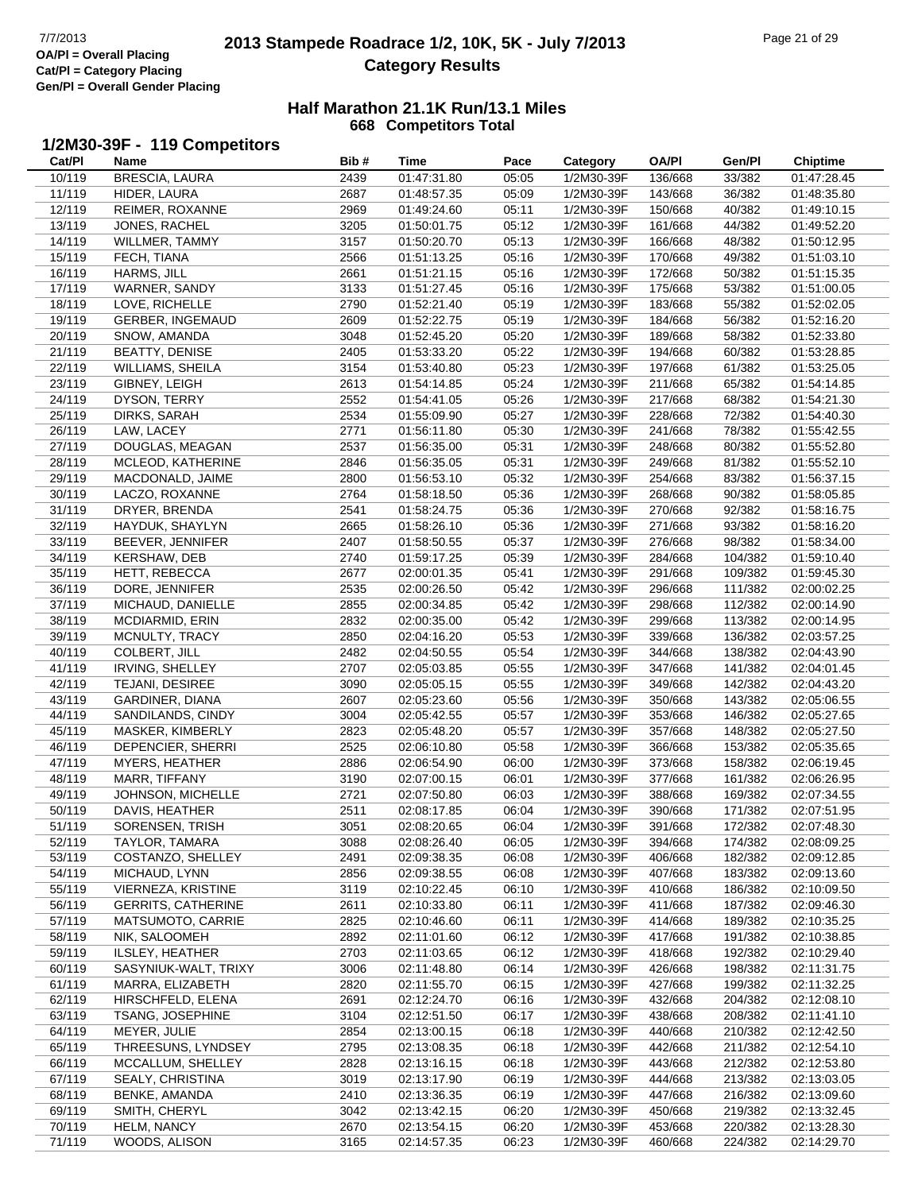$\overline{a}$ 

# **2013 Stampede Roadrace 1/2, 10K, 5K - July 7/2013** Page 21 of 29 Page 21 of 29 **Category Results**

#### **Half Marathon 21.1K Run/13.1 Miles 668 Competitors Total**

### **1/2M30-39F - 119 Competitors**

| Cat/PI | Name                      | Bib# | Time        | Pace  | Category   | OA/PI   | Gen/Pl  | <b>Chiptime</b> |
|--------|---------------------------|------|-------------|-------|------------|---------|---------|-----------------|
| 10/119 | <b>BRESCIA, LAURA</b>     | 2439 | 01:47:31.80 | 05:05 | 1/2M30-39F | 136/668 | 33/382  | 01:47:28.45     |
| 11/119 | HIDER, LAURA              | 2687 | 01:48:57.35 | 05:09 | 1/2M30-39F | 143/668 | 36/382  | 01:48:35.80     |
| 12/119 | REIMER, ROXANNE           | 2969 | 01:49:24.60 | 05:11 | 1/2M30-39F | 150/668 | 40/382  | 01:49:10.15     |
| 13/119 | JONES, RACHEL             | 3205 | 01:50:01.75 | 05:12 | 1/2M30-39F | 161/668 | 44/382  | 01:49:52.20     |
|        | WILLMER, TAMMY            |      |             |       |            |         |         |                 |
| 14/119 |                           | 3157 | 01:50:20.70 | 05:13 | 1/2M30-39F | 166/668 | 48/382  | 01:50:12.95     |
| 15/119 | FECH, TIANA               | 2566 | 01:51:13.25 | 05:16 | 1/2M30-39F | 170/668 | 49/382  | 01:51:03.10     |
| 16/119 | HARMS, JILL               | 2661 | 01:51:21.15 | 05:16 | 1/2M30-39F | 172/668 | 50/382  | 01:51:15.35     |
| 17/119 | WARNER, SANDY             | 3133 | 01:51:27.45 | 05:16 | 1/2M30-39F | 175/668 | 53/382  | 01:51:00.05     |
| 18/119 | LOVE, RICHELLE            | 2790 | 01:52:21.40 | 05:19 | 1/2M30-39F | 183/668 | 55/382  | 01:52:02.05     |
| 19/119 | <b>GERBER, INGEMAUD</b>   | 2609 | 01:52:22.75 | 05:19 | 1/2M30-39F | 184/668 | 56/382  | 01:52:16.20     |
| 20/119 | SNOW, AMANDA              | 3048 | 01:52:45.20 | 05:20 | 1/2M30-39F | 189/668 | 58/382  | 01:52:33.80     |
| 21/119 | <b>BEATTY, DENISE</b>     | 2405 | 01:53:33.20 | 05:22 | 1/2M30-39F | 194/668 | 60/382  | 01:53:28.85     |
| 22/119 | <b>WILLIAMS, SHEILA</b>   | 3154 | 01:53:40.80 | 05:23 | 1/2M30-39F | 197/668 | 61/382  | 01:53:25.05     |
| 23/119 | GIBNEY, LEIGH             | 2613 | 01:54:14.85 | 05:24 | 1/2M30-39F | 211/668 | 65/382  | 01:54:14.85     |
| 24/119 | DYSON, TERRY              | 2552 | 01:54:41.05 | 05:26 | 1/2M30-39F | 217/668 | 68/382  | 01:54:21.30     |
| 25/119 | DIRKS, SARAH              | 2534 | 01:55:09.90 | 05:27 | 1/2M30-39F | 228/668 | 72/382  | 01:54:40.30     |
| 26/119 | LAW, LACEY                | 2771 | 01:56:11.80 | 05:30 | 1/2M30-39F | 241/668 | 78/382  | 01:55:42.55     |
| 27/119 | DOUGLAS, MEAGAN           | 2537 | 01:56:35.00 | 05:31 | 1/2M30-39F | 248/668 | 80/382  | 01:55:52.80     |
|        | MCLEOD, KATHERINE         |      |             |       |            |         |         |                 |
| 28/119 |                           | 2846 | 01:56:35.05 | 05:31 | 1/2M30-39F | 249/668 | 81/382  | 01:55:52.10     |
| 29/119 | MACDONALD, JAIME          | 2800 | 01:56:53.10 | 05:32 | 1/2M30-39F | 254/668 | 83/382  | 01:56:37.15     |
| 30/119 | LACZO, ROXANNE            | 2764 | 01:58:18.50 | 05:36 | 1/2M30-39F | 268/668 | 90/382  | 01:58:05.85     |
| 31/119 | DRYER, BRENDA             | 2541 | 01:58:24.75 | 05:36 | 1/2M30-39F | 270/668 | 92/382  | 01:58:16.75     |
| 32/119 | HAYDUK, SHAYLYN           | 2665 | 01:58:26.10 | 05:36 | 1/2M30-39F | 271/668 | 93/382  | 01:58:16.20     |
| 33/119 | BEEVER, JENNIFER          | 2407 | 01:58:50.55 | 05:37 | 1/2M30-39F | 276/668 | 98/382  | 01:58:34.00     |
| 34/119 | KERSHAW, DEB              | 2740 | 01:59:17.25 | 05:39 | 1/2M30-39F | 284/668 | 104/382 | 01:59:10.40     |
| 35/119 | HETT, REBECCA             | 2677 | 02:00:01.35 | 05:41 | 1/2M30-39F | 291/668 | 109/382 | 01:59:45.30     |
| 36/119 | DORE, JENNIFER            | 2535 | 02:00:26.50 | 05:42 | 1/2M30-39F | 296/668 | 111/382 | 02:00:02.25     |
| 37/119 | MICHAUD, DANIELLE         | 2855 | 02:00:34.85 | 05:42 | 1/2M30-39F | 298/668 | 112/382 | 02:00:14.90     |
| 38/119 | MCDIARMID, ERIN           | 2832 | 02:00:35.00 | 05:42 | 1/2M30-39F | 299/668 | 113/382 | 02:00:14.95     |
| 39/119 | MCNULTY, TRACY            | 2850 | 02:04:16.20 | 05:53 | 1/2M30-39F | 339/668 | 136/382 | 02:03:57.25     |
| 40/119 | <b>COLBERT, JILL</b>      | 2482 | 02:04:50.55 | 05:54 | 1/2M30-39F | 344/668 | 138/382 | 02:04:43.90     |
| 41/119 | <b>IRVING, SHELLEY</b>    | 2707 | 02:05:03.85 | 05:55 | 1/2M30-39F | 347/668 | 141/382 | 02:04:01.45     |
| 42/119 | TEJANI, DESIREE           | 3090 | 02:05:05.15 | 05:55 | 1/2M30-39F | 349/668 | 142/382 | 02:04:43.20     |
| 43/119 | GARDINER, DIANA           | 2607 | 02:05:23.60 | 05:56 | 1/2M30-39F | 350/668 | 143/382 | 02:05:06.55     |
| 44/119 | SANDILANDS, CINDY         | 3004 | 02:05:42.55 | 05:57 | 1/2M30-39F | 353/668 | 146/382 | 02:05:27.65     |
|        |                           |      |             |       |            |         |         |                 |
| 45/119 | MASKER, KIMBERLY          | 2823 | 02:05:48.20 | 05:57 | 1/2M30-39F | 357/668 | 148/382 | 02:05:27.50     |
| 46/119 | DEPENCIER, SHERRI         | 2525 | 02:06:10.80 | 05:58 | 1/2M30-39F | 366/668 | 153/382 | 02:05:35.65     |
| 47/119 | <b>MYERS, HEATHER</b>     | 2886 | 02:06:54.90 | 06:00 | 1/2M30-39F | 373/668 | 158/382 | 02:06:19.45     |
| 48/119 | MARR, TIFFANY             | 3190 | 02:07:00.15 | 06:01 | 1/2M30-39F | 377/668 | 161/382 | 02:06:26.95     |
| 49/119 | JOHNSON, MICHELLE         | 2721 | 02:07:50.80 | 06:03 | 1/2M30-39F | 388/668 | 169/382 | 02:07:34.55     |
| 50/119 | DAVIS, HEATHER            | 2511 | 02:08:17.85 | 06:04 | 1/2M30-39F | 390/668 | 171/382 | 02:07:51.95     |
| 51/119 | SORENSEN, TRISH           | 3051 | 02:08:20.65 | 06:04 | 1/2M30-39F | 391/668 | 172/382 | 02:07:48.30     |
| 52/119 | TAYLOR, TAMARA            | 3088 | 02:08:26.40 | 06:05 | 1/2M30-39F | 394/668 | 174/382 | 02:08:09.25     |
| 53/119 | COSTANZO, SHELLEY         | 2491 | 02:09:38.35 | 06:08 | 1/2M30-39F | 406/668 | 182/382 | 02:09:12.85     |
| 54/119 | MICHAUD, LYNN             | 2856 | 02:09:38.55 | 06:08 | 1/2M30-39F | 407/668 | 183/382 | 02:09:13.60     |
| 55/119 | VIERNEZA, KRISTINE        | 3119 | 02:10:22.45 | 06:10 | 1/2M30-39F | 410/668 | 186/382 | 02:10:09.50     |
| 56/119 | <b>GERRITS, CATHERINE</b> | 2611 | 02:10:33.80 | 06:11 | 1/2M30-39F | 411/668 | 187/382 | 02:09:46.30     |
| 57/119 | MATSUMOTO, CARRIE         | 2825 | 02:10:46.60 | 06:11 | 1/2M30-39F | 414/668 | 189/382 | 02:10:35.25     |
| 58/119 | NIK, SALOOMEH             | 2892 | 02:11:01.60 | 06:12 | 1/2M30-39F | 417/668 | 191/382 | 02:10:38.85     |
| 59/119 | ILSLEY, HEATHER           | 2703 | 02:11:03.65 | 06:12 | 1/2M30-39F | 418/668 | 192/382 | 02:10:29.40     |
| 60/119 | SASYNIUK-WALT, TRIXY      | 3006 | 02:11:48.80 | 06:14 | 1/2M30-39F | 426/668 | 198/382 | 02:11:31.75     |
| 61/119 | MARRA, ELIZABETH          | 2820 | 02:11:55.70 | 06:15 | 1/2M30-39F | 427/668 | 199/382 | 02:11:32.25     |
|        | HIRSCHFELD, ELENA         |      |             |       |            |         |         | 02:12:08.10     |
| 62/119 |                           | 2691 | 02:12:24.70 | 06:16 | 1/2M30-39F | 432/668 | 204/382 |                 |
| 63/119 | TSANG, JOSEPHINE          | 3104 | 02:12:51.50 | 06:17 | 1/2M30-39F | 438/668 | 208/382 | 02:11:41.10     |
| 64/119 | MEYER, JULIE              | 2854 | 02:13:00.15 | 06:18 | 1/2M30-39F | 440/668 | 210/382 | 02:12:42.50     |
| 65/119 | THREESUNS, LYNDSEY        | 2795 | 02:13:08.35 | 06:18 | 1/2M30-39F | 442/668 | 211/382 | 02:12:54.10     |
| 66/119 | MCCALLUM, SHELLEY         | 2828 | 02:13:16.15 | 06:18 | 1/2M30-39F | 443/668 | 212/382 | 02:12:53.80     |
| 67/119 | SEALY, CHRISTINA          | 3019 | 02:13:17.90 | 06:19 | 1/2M30-39F | 444/668 | 213/382 | 02:13:03.05     |
| 68/119 | BENKE, AMANDA             | 2410 | 02:13:36.35 | 06:19 | 1/2M30-39F | 447/668 | 216/382 | 02:13:09.60     |
| 69/119 | SMITH, CHERYL             | 3042 | 02:13:42.15 | 06:20 | 1/2M30-39F | 450/668 | 219/382 | 02:13:32.45     |
| 70/119 | HELM, NANCY               | 2670 | 02:13:54.15 | 06:20 | 1/2M30-39F | 453/668 | 220/382 | 02:13:28.30     |
| 71/119 | WOODS, ALISON             | 3165 | 02:14:57.35 | 06:23 | 1/2M30-39F | 460/668 | 224/382 | 02:14:29.70     |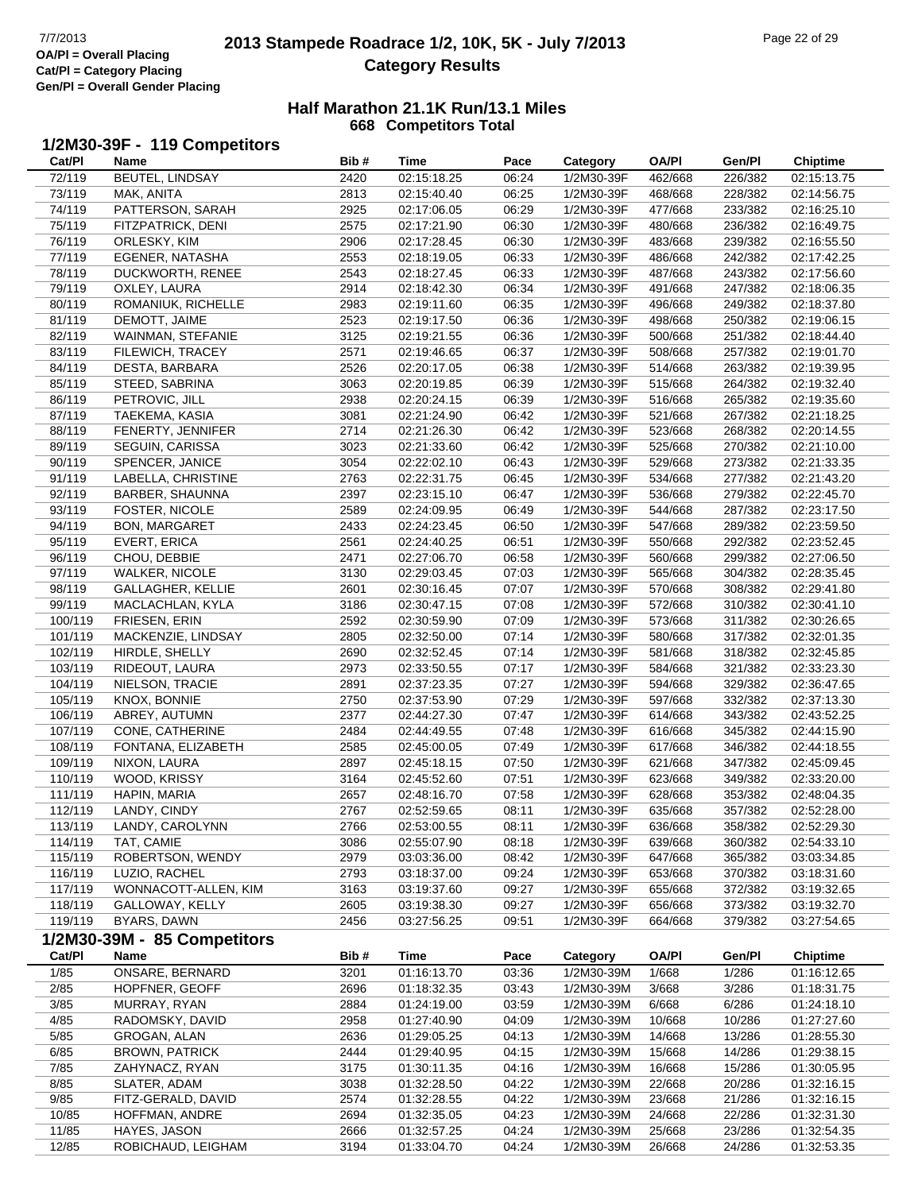# **2013 Stampede Roadrace 1/2, 10K, 5K - July 7/2013** Page 22 of 29 Page 22 of 29 **Category Results**

#### **Half Marathon 21.1K Run/13.1 Miles 668 Competitors Total**

### **1/2M30-39F - 119 Competitors**

| Cat/PI  | Name                        | Bib# | <b>Time</b> | Pace  | Category   | <b>OA/PI</b> | Gen/Pl  | <b>Chiptime</b> |
|---------|-----------------------------|------|-------------|-------|------------|--------------|---------|-----------------|
| 72/119  | BEUTEL, LINDSAY             | 2420 | 02:15:18.25 | 06:24 | 1/2M30-39F | 462/668      | 226/382 | 02:15:13.75     |
| 73/119  | MAK, ANITA                  | 2813 | 02:15:40.40 | 06:25 | 1/2M30-39F | 468/668      | 228/382 | 02:14:56.75     |
| 74/119  | PATTERSON, SARAH            | 2925 | 02:17:06.05 | 06:29 | 1/2M30-39F | 477/668      | 233/382 | 02:16:25.10     |
| 75/119  | FITZPATRICK, DENI           | 2575 | 02:17:21.90 | 06:30 | 1/2M30-39F | 480/668      | 236/382 | 02:16:49.75     |
| 76/119  | ORLESKY, KIM                | 2906 | 02:17:28.45 | 06:30 | 1/2M30-39F | 483/668      | 239/382 | 02:16:55.50     |
| 77/119  | EGENER, NATASHA             | 2553 | 02:18:19.05 | 06:33 | 1/2M30-39F | 486/668      | 242/382 | 02:17:42.25     |
| 78/119  | DUCKWORTH, RENEE            | 2543 | 02:18:27.45 | 06:33 | 1/2M30-39F | 487/668      | 243/382 | 02:17:56.60     |
| 79/119  | OXLEY, LAURA                | 2914 | 02:18:42.30 | 06:34 | 1/2M30-39F | 491/668      | 247/382 | 02:18:06.35     |
| 80/119  | ROMANIUK, RICHELLE          | 2983 | 02:19:11.60 | 06:35 | 1/2M30-39F | 496/668      | 249/382 | 02:18:37.80     |
|         |                             |      |             |       |            |              |         |                 |
| 81/119  | DEMOTT, JAIME               | 2523 | 02:19:17.50 | 06:36 | 1/2M30-39F | 498/668      | 250/382 | 02:19:06.15     |
| 82/119  | WAINMAN, STEFANIE           | 3125 | 02:19:21.55 | 06:36 | 1/2M30-39F | 500/668      | 251/382 | 02:18:44.40     |
| 83/119  | FILEWICH, TRACEY            | 2571 | 02:19:46.65 | 06:37 | 1/2M30-39F | 508/668      | 257/382 | 02:19:01.70     |
| 84/119  | DESTA, BARBARA              | 2526 | 02:20:17.05 | 06:38 | 1/2M30-39F | 514/668      | 263/382 | 02:19:39.95     |
| 85/119  | STEED, SABRINA              | 3063 | 02:20:19.85 | 06:39 | 1/2M30-39F | 515/668      | 264/382 | 02:19:32.40     |
| 86/119  | PETROVIC, JILL              | 2938 | 02:20:24.15 | 06:39 | 1/2M30-39F | 516/668      | 265/382 | 02:19:35.60     |
| 87/119  | <b>TAEKEMA, KASIA</b>       | 3081 | 02:21:24.90 | 06:42 | 1/2M30-39F | 521/668      | 267/382 | 02:21:18.25     |
| 88/119  | FENERTY, JENNIFER           | 2714 | 02:21:26.30 | 06:42 | 1/2M30-39F | 523/668      | 268/382 | 02:20:14.55     |
| 89/119  | SEGUIN, CARISSA             | 3023 | 02:21:33.60 | 06:42 | 1/2M30-39F | 525/668      | 270/382 | 02:21:10.00     |
| 90/119  | SPENCER, JANICE             | 3054 | 02:22:02.10 | 06:43 | 1/2M30-39F | 529/668      | 273/382 | 02:21:33.35     |
| 91/119  | LABELLA, CHRISTINE          | 2763 | 02:22:31.75 | 06:45 | 1/2M30-39F | 534/668      | 277/382 | 02:21:43.20     |
| 92/119  | BARBER, SHAUNNA             | 2397 | 02:23:15.10 | 06:47 | 1/2M30-39F | 536/668      | 279/382 | 02:22:45.70     |
| 93/119  | <b>FOSTER, NICOLE</b>       | 2589 | 02:24:09.95 | 06:49 | 1/2M30-39F | 544/668      | 287/382 | 02:23:17.50     |
| 94/119  | <b>BON, MARGARET</b>        | 2433 | 02:24:23.45 | 06:50 | 1/2M30-39F | 547/668      | 289/382 | 02:23:59.50     |
| 95/119  | EVERT, ERICA                | 2561 | 02:24:40.25 | 06:51 | 1/2M30-39F | 550/668      | 292/382 | 02:23:52.45     |
| 96/119  | CHOU, DEBBIE                | 2471 | 02:27:06.70 | 06:58 | 1/2M30-39F | 560/668      | 299/382 | 02:27:06.50     |
| 97/119  | <b>WALKER, NICOLE</b>       | 3130 | 02:29:03.45 | 07:03 | 1/2M30-39F | 565/668      | 304/382 | 02:28:35.45     |
| 98/119  | <b>GALLAGHER, KELLIE</b>    | 2601 | 02:30:16.45 | 07:07 | 1/2M30-39F | 570/668      | 308/382 | 02:29:41.80     |
| 99/119  | MACLACHLAN, KYLA            | 3186 | 02:30:47.15 | 07:08 | 1/2M30-39F | 572/668      | 310/382 | 02:30:41.10     |
| 100/119 | FRIESEN, ERIN               | 2592 | 02:30:59.90 | 07:09 | 1/2M30-39F | 573/668      | 311/382 | 02:30:26.65     |
| 101/119 | MACKENZIE, LINDSAY          | 2805 | 02:32:50.00 | 07:14 | 1/2M30-39F | 580/668      | 317/382 | 02:32:01.35     |
| 102/119 | HIRDLE, SHELLY              | 2690 | 02:32:52.45 | 07:14 | 1/2M30-39F | 581/668      | 318/382 | 02:32:45.85     |
| 103/119 | RIDEOUT, LAURA              | 2973 | 02:33:50.55 | 07:17 | 1/2M30-39F | 584/668      | 321/382 | 02:33:23.30     |
| 104/119 | NIELSON, TRACIE             | 2891 | 02:37:23.35 | 07:27 | 1/2M30-39F | 594/668      | 329/382 | 02:36:47.65     |
|         |                             |      |             |       |            |              |         |                 |
| 105/119 | KNOX, BONNIE                | 2750 | 02:37:53.90 | 07:29 | 1/2M30-39F | 597/668      | 332/382 | 02:37:13.30     |
| 106/119 | ABREY, AUTUMN               | 2377 | 02:44:27.30 | 07:47 | 1/2M30-39F | 614/668      | 343/382 | 02:43:52.25     |
| 107/119 | CONE, CATHERINE             | 2484 | 02:44:49.55 | 07:48 | 1/2M30-39F | 616/668      | 345/382 | 02:44:15.90     |
| 108/119 | FONTANA, ELIZABETH          | 2585 | 02:45:00.05 | 07:49 | 1/2M30-39F | 617/668      | 346/382 | 02:44:18.55     |
| 109/119 | NIXON, LAURA                | 2897 | 02:45:18.15 | 07:50 | 1/2M30-39F | 621/668      | 347/382 | 02:45:09.45     |
| 110/119 | WOOD, KRISSY                | 3164 | 02:45:52.60 | 07:51 | 1/2M30-39F | 623/668      | 349/382 | 02:33:20.00     |
| 111/119 | HAPIN, MARIA                | 2657 | 02:48:16.70 | 07:58 | 1/2M30-39F | 628/668      | 353/382 | 02:48:04.35     |
| 112/119 | LANDY, CINDY                | 2767 | 02:52:59.65 | 08:11 | 1/2M30-39F | 635/668      | 357/382 | 02:52:28.00     |
| 113/119 | LANDY, CAROLYNN             | 2766 | 02:53:00.55 | 08:11 | 1/2M30-39F | 636/668      | 358/382 | 02:52:29.30     |
| 114/119 | TAT, CAMIE                  | 3086 | 02:55:07.90 | 08:18 | 1/2M30-39F | 639/668      | 360/382 | 02:54:33.10     |
| 115/119 | ROBERTSON, WENDY            | 2979 | 03:03:36.00 | 08:42 | 1/2M30-39F | 647/668      | 365/382 | 03:03:34.85     |
| 116/119 | LUZIO, RACHEL               | 2793 | 03:18:37.00 | 09:24 | 1/2M30-39F | 653/668      | 370/382 | 03:18:31.60     |
| 117/119 | WONNACOTT-ALLEN, KIM        | 3163 | 03:19:37.60 | 09:27 | 1/2M30-39F | 655/668      | 372/382 | 03:19:32.65     |
| 118/119 | GALLOWAY, KELLY             | 2605 | 03:19:38.30 | 09:27 | 1/2M30-39F | 656/668      | 373/382 | 03:19:32.70     |
| 119/119 | BYARS, DAWN                 | 2456 | 03:27:56.25 | 09:51 | 1/2M30-39F | 664/668      | 379/382 | 03:27:54.65     |
|         | 1/2M30-39M - 85 Competitors |      |             |       |            |              |         |                 |
| Cat/PI  | Name                        | Bib# | <b>Time</b> | Pace  | Category   | <b>OA/PI</b> | Gen/Pl  | <b>Chiptime</b> |
| 1/85    | ONSARE, BERNARD             | 3201 | 01:16:13.70 | 03:36 | 1/2M30-39M | 1/668        | 1/286   | 01:16:12.65     |
| 2/85    | HOPFNER, GEOFF              | 2696 | 01:18:32.35 | 03:43 | 1/2M30-39M | 3/668        | 3/286   | 01:18:31.75     |
| 3/85    | MURRAY, RYAN                | 2884 | 01:24:19.00 | 03:59 | 1/2M30-39M | 6/668        | 6/286   | 01:24:18.10     |
| 4/85    | RADOMSKY, DAVID             | 2958 | 01:27:40.90 | 04:09 | 1/2M30-39M | 10/668       | 10/286  | 01:27:27.60     |
| 5/85    | GROGAN, ALAN                | 2636 | 01:29:05.25 | 04:13 | 1/2M30-39M | 14/668       | 13/286  | 01:28:55.30     |
|         |                             |      |             |       |            |              |         |                 |
| 6/85    | <b>BROWN, PATRICK</b>       | 2444 | 01:29:40.95 | 04:15 | 1/2M30-39M | 15/668       | 14/286  | 01:29:38.15     |
| 7/85    | ZAHYNACZ, RYAN              | 3175 | 01:30:11.35 | 04:16 | 1/2M30-39M | 16/668       | 15/286  | 01:30:05.95     |
| 8/85    | SLATER, ADAM                | 3038 | 01:32:28.50 | 04:22 | 1/2M30-39M | 22/668       | 20/286  | 01:32:16.15     |
| 9/85    | FITZ-GERALD, DAVID          | 2574 | 01:32:28.55 | 04:22 | 1/2M30-39M | 23/668       | 21/286  | 01:32:16.15     |
| 10/85   | HOFFMAN, ANDRE              | 2694 | 01:32:35.05 | 04:23 | 1/2M30-39M | 24/668       | 22/286  | 01:32:31.30     |
| 11/85   | HAYES, JASON                | 2666 | 01:32:57.25 | 04:24 | 1/2M30-39M | 25/668       | 23/286  | 01:32:54.35     |
| 12/85   | ROBICHAUD, LEIGHAM          | 3194 | 01:33:04.70 | 04:24 | 1/2M30-39M | 26/668       | 24/286  | 01:32:53.35     |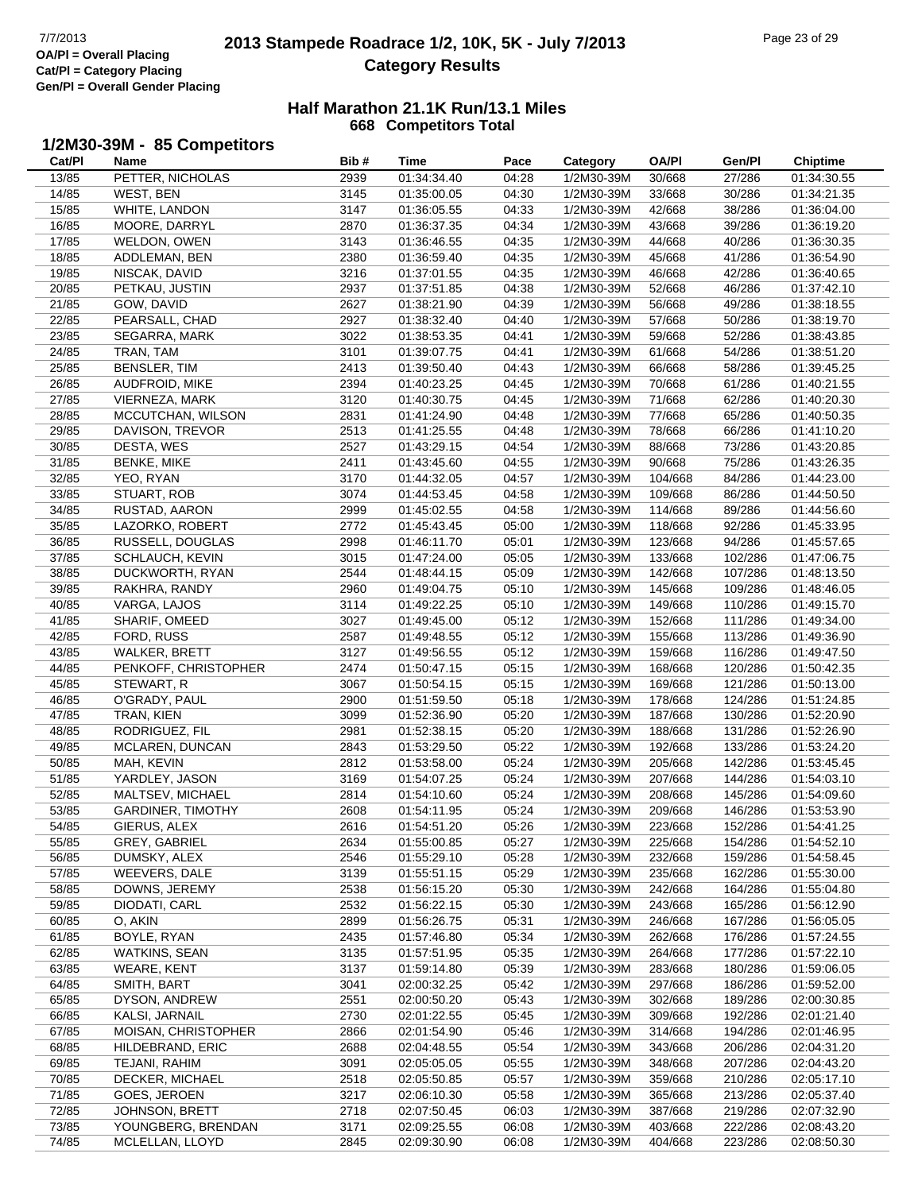$\overline{a}$ 

# **2013 Stampede Roadrace 1/2, 10K, 5K - July 7/2013** Page 23 of 29 Page 23 of 29 **Category Results**

#### **Half Marathon 21.1K Run/13.1 Miles 668 Competitors Total**

### **1/2M30-39M - 85 Competitors**

| Cat/PI | Name                     | Bib# | Time        | Pace  | Category   | OA/PI   | Gen/Pl  | <b>Chiptime</b> |
|--------|--------------------------|------|-------------|-------|------------|---------|---------|-----------------|
| 13/85  | PETTER, NICHOLAS         | 2939 | 01:34:34.40 | 04:28 | 1/2M30-39M | 30/668  | 27/286  | 01:34:30.55     |
| 14/85  | WEST, BEN                | 3145 | 01:35:00.05 | 04:30 | 1/2M30-39M | 33/668  | 30/286  | 01:34:21.35     |
| 15/85  | WHITE, LANDON            | 3147 | 01:36:05.55 | 04:33 | 1/2M30-39M | 42/668  | 38/286  | 01:36:04.00     |
| 16/85  | MOORE, DARRYL            | 2870 | 01:36:37.35 | 04:34 | 1/2M30-39M | 43/668  | 39/286  | 01:36:19.20     |
| 17/85  | WELDON, OWEN             | 3143 | 01:36:46.55 | 04:35 | 1/2M30-39M | 44/668  | 40/286  | 01:36:30.35     |
| 18/85  | ADDLEMAN, BEN            | 2380 | 01:36:59.40 | 04:35 | 1/2M30-39M | 45/668  | 41/286  | 01:36:54.90     |
| 19/85  | NISCAK, DAVID            | 3216 | 01:37:01.55 | 04:35 | 1/2M30-39M | 46/668  | 42/286  | 01:36:40.65     |
| 20/85  | PETKAU, JUSTIN           | 2937 | 01:37:51.85 | 04:38 | 1/2M30-39M | 52/668  | 46/286  | 01:37:42.10     |
| 21/85  | GOW, DAVID               | 2627 | 01:38:21.90 | 04:39 | 1/2M30-39M | 56/668  | 49/286  | 01:38:18.55     |
| 22/85  | PEARSALL, CHAD           | 2927 | 01:38:32.40 | 04:40 | 1/2M30-39M | 57/668  | 50/286  | 01:38:19.70     |
| 23/85  | SEGARRA, MARK            | 3022 | 01:38:53.35 | 04:41 | 1/2M30-39M | 59/668  | 52/286  | 01:38:43.85     |
|        |                          |      |             |       |            |         |         |                 |
| 24/85  | TRAN, TAM                | 3101 | 01:39:07.75 | 04:41 | 1/2M30-39M | 61/668  | 54/286  | 01:38:51.20     |
| 25/85  | <b>BENSLER, TIM</b>      | 2413 | 01:39:50.40 | 04:43 | 1/2M30-39M | 66/668  | 58/286  | 01:39:45.25     |
| 26/85  | AUDFROID, MIKE           | 2394 | 01:40:23.25 | 04:45 | 1/2M30-39M | 70/668  | 61/286  | 01:40:21.55     |
| 27/85  | VIERNEZA, MARK           | 3120 | 01:40:30.75 | 04:45 | 1/2M30-39M | 71/668  | 62/286  | 01:40:20.30     |
| 28/85  | MCCUTCHAN, WILSON        | 2831 | 01:41:24.90 | 04:48 | 1/2M30-39M | 77/668  | 65/286  | 01:40:50.35     |
| 29/85  | DAVISON, TREVOR          | 2513 | 01:41:25.55 | 04:48 | 1/2M30-39M | 78/668  | 66/286  | 01:41:10.20     |
| 30/85  | DESTA, WES               | 2527 | 01:43:29.15 | 04:54 | 1/2M30-39M | 88/668  | 73/286  | 01:43:20.85     |
| 31/85  | <b>BENKE, MIKE</b>       | 2411 | 01:43:45.60 | 04:55 | 1/2M30-39M | 90/668  | 75/286  | 01:43:26.35     |
| 32/85  | YEO, RYAN                | 3170 | 01:44:32.05 | 04:57 | 1/2M30-39M | 104/668 | 84/286  | 01:44:23.00     |
| 33/85  | STUART, ROB              | 3074 | 01:44:53.45 | 04:58 | 1/2M30-39M | 109/668 | 86/286  | 01:44:50.50     |
| 34/85  | RUSTAD, AARON            | 2999 | 01:45:02.55 | 04:58 | 1/2M30-39M | 114/668 | 89/286  | 01:44:56.60     |
| 35/85  | LAZORKO, ROBERT          | 2772 | 01:45:43.45 | 05:00 | 1/2M30-39M | 118/668 | 92/286  | 01:45:33.95     |
| 36/85  | RUSSELL, DOUGLAS         | 2998 | 01:46:11.70 | 05:01 | 1/2M30-39M | 123/668 | 94/286  | 01:45:57.65     |
| 37/85  | SCHLAUCH, KEVIN          | 3015 | 01:47:24.00 | 05:05 | 1/2M30-39M | 133/668 | 102/286 | 01:47:06.75     |
| 38/85  | DUCKWORTH, RYAN          | 2544 | 01:48:44.15 | 05:09 | 1/2M30-39M | 142/668 | 107/286 | 01:48:13.50     |
| 39/85  | RAKHRA, RANDY            | 2960 | 01:49:04.75 | 05:10 | 1/2M30-39M | 145/668 | 109/286 | 01:48:46.05     |
| 40/85  | VARGA, LAJOS             | 3114 | 01:49:22.25 | 05:10 | 1/2M30-39M | 149/668 | 110/286 | 01:49:15.70     |
| 41/85  | SHARIF, OMEED            | 3027 | 01:49:45.00 | 05:12 | 1/2M30-39M | 152/668 | 111/286 | 01:49:34.00     |
| 42/85  | FORD, RUSS               | 2587 | 01:49:48.55 | 05:12 | 1/2M30-39M | 155/668 | 113/286 | 01:49:36.90     |
| 43/85  | <b>WALKER, BRETT</b>     | 3127 | 01:49:56.55 | 05:12 | 1/2M30-39M | 159/668 | 116/286 | 01:49:47.50     |
| 44/85  | PENKOFF, CHRISTOPHER     | 2474 | 01:50:47.15 | 05:15 | 1/2M30-39M | 168/668 | 120/286 | 01:50:42.35     |
| 45/85  | STEWART, R               | 3067 | 01:50:54.15 | 05:15 | 1/2M30-39M | 169/668 | 121/286 | 01:50:13.00     |
| 46/85  | O'GRADY, PAUL            | 2900 | 01:51:59.50 | 05:18 | 1/2M30-39M | 178/668 | 124/286 | 01:51:24.85     |
| 47/85  | TRAN, KIEN               | 3099 | 01:52:36.90 | 05:20 | 1/2M30-39M | 187/668 | 130/286 | 01:52:20.90     |
| 48/85  | RODRIGUEZ, FIL           | 2981 | 01:52:38.15 | 05:20 | 1/2M30-39M | 188/668 | 131/286 | 01:52:26.90     |
|        |                          |      |             |       |            |         |         |                 |
| 49/85  | MCLAREN, DUNCAN          | 2843 | 01:53:29.50 | 05:22 | 1/2M30-39M | 192/668 | 133/286 | 01:53:24.20     |
| 50/85  | MAH, KEVIN               | 2812 | 01:53:58.00 | 05:24 | 1/2M30-39M | 205/668 | 142/286 | 01:53:45.45     |
| 51/85  | YARDLEY, JASON           | 3169 | 01:54:07.25 | 05:24 | 1/2M30-39M | 207/668 | 144/286 | 01:54:03.10     |
| 52/85  | MALTSEV, MICHAEL         | 2814 | 01:54:10.60 | 05:24 | 1/2M30-39M | 208/668 | 145/286 | 01:54:09.60     |
| 53/85  | <b>GARDINER, TIMOTHY</b> | 2608 | 01:54:11.95 | 05:24 | 1/2M30-39M | 209/668 | 146/286 | 01:53:53.90     |
| 54/85  | <b>GIERUS, ALEX</b>      | 2616 | 01:54:51.20 | 05:26 | 1/2M30-39M | 223/668 | 152/286 | 01:54:41.25     |
| 55/85  | GREY, GABRIEL            | 2634 | 01:55:00.85 | 05:27 | 1/2M30-39M | 225/668 | 154/286 | 01:54:52.10     |
| 56/85  | DUMSKY, ALEX             | 2546 | 01:55:29.10 | 05:28 | 1/2M30-39M | 232/668 | 159/286 | 01:54:58.45     |
| 57/85  | WEEVERS, DALE            | 3139 | 01:55:51.15 | 05:29 | 1/2M30-39M | 235/668 | 162/286 | 01:55:30.00     |
| 58/85  | DOWNS, JEREMY            | 2538 | 01:56:15.20 | 05:30 | 1/2M30-39M | 242/668 | 164/286 | 01:55:04.80     |
| 59/85  | DIODATI, CARL            | 2532 | 01:56:22.15 | 05:30 | 1/2M30-39M | 243/668 | 165/286 | 01:56:12.90     |
| 60/85  | O, AKIN                  | 2899 | 01:56:26.75 | 05:31 | 1/2M30-39M | 246/668 | 167/286 | 01:56:05.05     |
| 61/85  | BOYLE, RYAN              | 2435 | 01:57:46.80 | 05:34 | 1/2M30-39M | 262/668 | 176/286 | 01:57:24.55     |
| 62/85  | WATKINS, SEAN            | 3135 | 01:57:51.95 | 05:35 | 1/2M30-39M | 264/668 | 177/286 | 01:57:22.10     |
| 63/85  | <b>WEARE, KENT</b>       | 3137 | 01:59:14.80 | 05:39 | 1/2M30-39M | 283/668 | 180/286 | 01:59:06.05     |
| 64/85  | SMITH, BART              | 3041 | 02:00:32.25 | 05:42 | 1/2M30-39M | 297/668 | 186/286 | 01:59:52.00     |
| 65/85  | DYSON, ANDREW            | 2551 | 02:00:50.20 | 05:43 | 1/2M30-39M | 302/668 | 189/286 | 02:00:30.85     |
| 66/85  | KALSI, JARNAIL           | 2730 | 02:01:22.55 | 05:45 | 1/2M30-39M | 309/668 | 192/286 | 02:01:21.40     |
| 67/85  | MOISAN, CHRISTOPHER      | 2866 | 02:01:54.90 | 05:46 | 1/2M30-39M | 314/668 | 194/286 | 02:01:46.95     |
| 68/85  | HILDEBRAND, ERIC         | 2688 | 02:04:48.55 | 05:54 | 1/2M30-39M | 343/668 | 206/286 | 02:04:31.20     |
| 69/85  | TEJANI, RAHIM            | 3091 | 02:05:05.05 | 05:55 | 1/2M30-39M | 348/668 | 207/286 | 02:04:43.20     |
| 70/85  | DECKER, MICHAEL          | 2518 | 02:05:50.85 | 05:57 | 1/2M30-39M | 359/668 | 210/286 | 02:05:17.10     |
| 71/85  | GOES, JEROEN             | 3217 | 02:06:10.30 | 05:58 | 1/2M30-39M | 365/668 | 213/286 | 02:05:37.40     |
| 72/85  | JOHNSON, BRETT           | 2718 | 02:07:50.45 | 06:03 | 1/2M30-39M | 387/668 | 219/286 | 02:07:32.90     |
| 73/85  | YOUNGBERG, BRENDAN       | 3171 | 02:09:25.55 | 06:08 | 1/2M30-39M | 403/668 | 222/286 | 02:08:43.20     |
| 74/85  | MCLELLAN, LLOYD          | 2845 | 02:09:30.90 | 06:08 | 1/2M30-39M | 404/668 | 223/286 | 02:08:50.30     |
|        |                          |      |             |       |            |         |         |                 |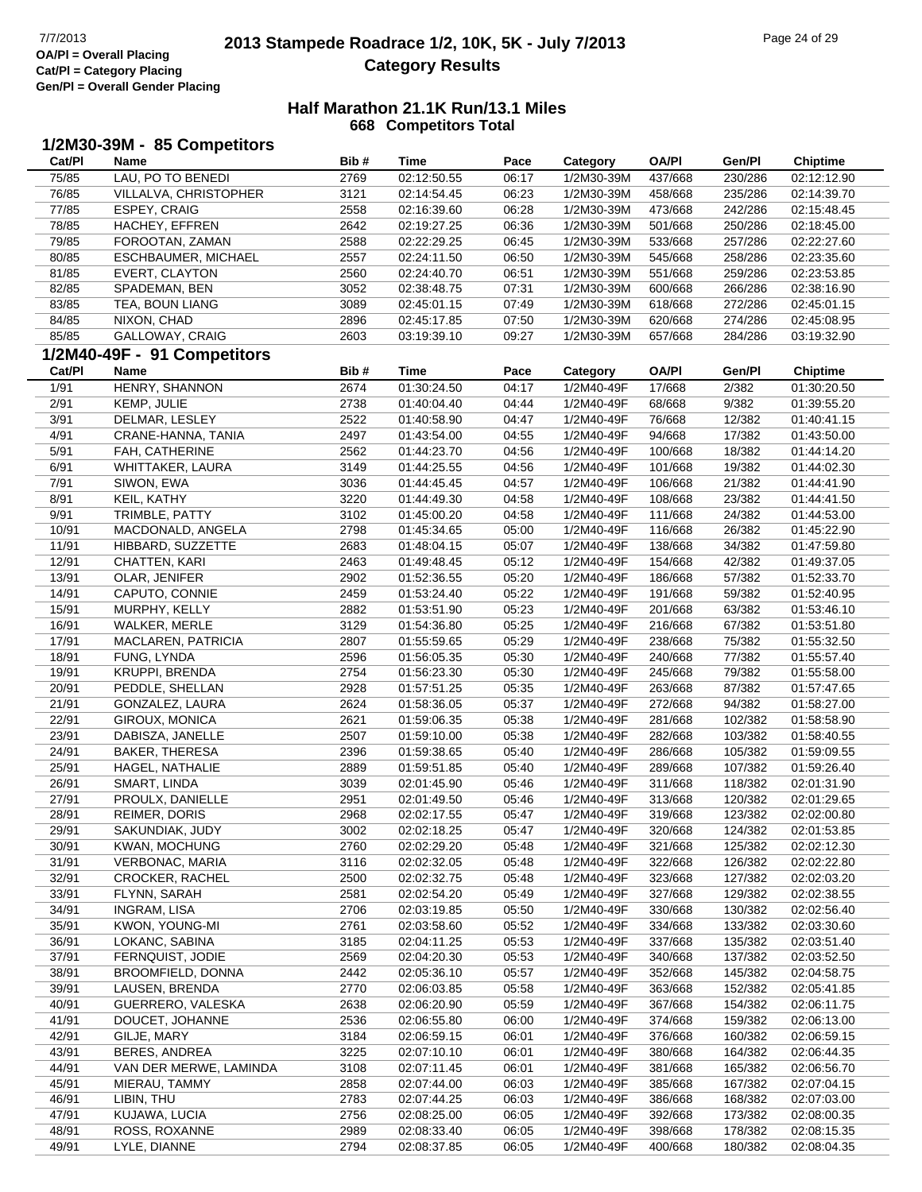# **2013 Stampede Roadrace 1/2, 10K, 5K - July 7/2013** Page 24 of 29 Page 24 of 29 **Category Results**

| Cat/PI | 1/2M30-39M - 85 Competitors<br>Name | Bib# | <b>Time</b> | Pace  | Category   | <b>OA/PI</b>       | Gen/Pl  | <b>Chiptime</b> |
|--------|-------------------------------------|------|-------------|-------|------------|--------------------|---------|-----------------|
| 75/85  | LAU, PO TO BENEDI                   | 2769 | 02:12:50.55 | 06:17 | 1/2M30-39M | 437/668            | 230/286 | 02:12:12.90     |
| 76/85  | VILLALVA, CHRISTOPHER               | 3121 | 02:14:54.45 | 06:23 | 1/2M30-39M | 458/668            | 235/286 | 02:14:39.70     |
| 77/85  | ESPEY, CRAIG                        | 2558 | 02:16:39.60 | 06:28 | 1/2M30-39M | 473/668            | 242/286 | 02:15:48.45     |
| 78/85  | HACHEY, EFFREN                      | 2642 | 02:19:27.25 | 06:36 | 1/2M30-39M | 501/668            | 250/286 | 02:18:45.00     |
| 79/85  | FOROOTAN, ZAMAN                     | 2588 | 02:22:29.25 | 06:45 | 1/2M30-39M | 533/668            | 257/286 | 02:22:27.60     |
| 80/85  | ESCHBAUMER, MICHAEL                 | 2557 | 02:24:11.50 | 06:50 | 1/2M30-39M | 545/668            | 258/286 | 02:23:35.60     |
| 81/85  | EVERT, CLAYTON                      | 2560 | 02:24:40.70 | 06:51 | 1/2M30-39M | 551/668            | 259/286 | 02:23:53.85     |
| 82/85  | SPADEMAN, BEN                       | 3052 | 02:38:48.75 | 07:31 | 1/2M30-39M | 600/668            | 266/286 | 02:38:16.90     |
| 83/85  | TEA, BOUN LIANG                     | 3089 | 02:45:01.15 | 07:49 | 1/2M30-39M | 618/668            | 272/286 | 02:45:01.15     |
| 84/85  | NIXON, CHAD                         | 2896 | 02:45:17.85 | 07:50 | 1/2M30-39M | 620/668            | 274/286 | 02:45:08.95     |
| 85/85  | GALLOWAY, CRAIG                     | 2603 | 03:19:39.10 | 09:27 | 1/2M30-39M | 657/668            | 284/286 | 03:19:32.90     |
|        | 1/2M40-49F - 91 Competitors         |      |             |       |            |                    |         |                 |
| Cat/PI | Name                                | Bib# | <b>Time</b> | Pace  | Category   | <b>OA/PI</b>       | Gen/Pl  | <b>Chiptime</b> |
| 1/91   | HENRY, SHANNON                      | 2674 | 01:30:24.50 | 04:17 | 1/2M40-49F | 17/668             | 2/382   | 01:30:20.50     |
| 2/91   | KEMP, JULIE                         | 2738 | 01:40:04.40 | 04:44 | 1/2M40-49F | 68/668             | 9/382   | 01:39:55.20     |
| 3/91   | DELMAR, LESLEY                      | 2522 | 01:40:58.90 | 04:47 | 1/2M40-49F | 76/668             | 12/382  | 01:40:41.15     |
|        |                                     |      |             |       |            |                    |         | 01:43:50.00     |
| 4/91   | CRANE-HANNA, TANIA                  | 2497 | 01:43:54.00 | 04:55 | 1/2M40-49F | 94/668             | 17/382  |                 |
| 5/91   | FAH, CATHERINE                      | 2562 | 01:44:23.70 | 04:56 | 1/2M40-49F | 100/668            | 18/382  | 01:44:14.20     |
| 6/91   | WHITTAKER, LAURA                    | 3149 | 01:44:25.55 | 04:56 | 1/2M40-49F | 101/668<br>106/668 | 19/382  | 01:44:02.30     |
| 7/91   | SIWON, EWA                          | 3036 | 01:44:45.45 | 04:57 | 1/2M40-49F |                    | 21/382  | 01:44:41.90     |
| 8/91   | KEIL, KATHY                         | 3220 | 01:44:49.30 | 04:58 | 1/2M40-49F | 108/668            | 23/382  | 01:44:41.50     |
| 9/91   | TRIMBLE, PATTY                      | 3102 | 01:45:00.20 | 04:58 | 1/2M40-49F | 111/668            | 24/382  | 01:44:53.00     |
| 10/91  | MACDONALD, ANGELA                   | 2798 | 01:45:34.65 | 05:00 | 1/2M40-49F | 116/668            | 26/382  | 01:45:22.90     |
| 11/91  | HIBBARD, SUZZETTE                   | 2683 | 01:48:04.15 | 05:07 | 1/2M40-49F | 138/668            | 34/382  | 01:47:59.80     |
| 12/91  | CHATTEN, KARI                       | 2463 | 01:49:48.45 | 05:12 | 1/2M40-49F | 154/668            | 42/382  | 01:49:37.05     |
| 13/91  | OLAR, JENIFER                       | 2902 | 01:52:36.55 | 05:20 | 1/2M40-49F | 186/668            | 57/382  | 01:52:33.70     |
| 14/91  | CAPUTO, CONNIE                      | 2459 | 01:53:24.40 | 05:22 | 1/2M40-49F | 191/668            | 59/382  | 01:52:40.95     |
| 15/91  | MURPHY, KELLY                       | 2882 | 01:53:51.90 | 05:23 | 1/2M40-49F | 201/668            | 63/382  | 01:53:46.10     |
| 16/91  | WALKER, MERLE                       | 3129 | 01:54:36.80 | 05:25 | 1/2M40-49F | 216/668            | 67/382  | 01:53:51.80     |
| 17/91  | MACLAREN, PATRICIA                  | 2807 | 01:55:59.65 | 05:29 | 1/2M40-49F | 238/668            | 75/382  | 01:55:32.50     |
| 18/91  | FUNG, LYNDA                         | 2596 | 01:56:05.35 | 05:30 | 1/2M40-49F | 240/668            | 77/382  | 01:55:57.40     |
| 19/91  | <b>KRUPPI, BRENDA</b>               | 2754 | 01:56:23.30 | 05:30 | 1/2M40-49F | 245/668            | 79/382  | 01:55:58.00     |
| 20/91  | PEDDLE, SHELLAN                     | 2928 | 01:57:51.25 | 05:35 | 1/2M40-49F | 263/668            | 87/382  | 01:57:47.65     |
| 21/91  | GONZALEZ, LAURA                     | 2624 | 01:58:36.05 | 05:37 | 1/2M40-49F | 272/668            | 94/382  | 01:58:27.00     |
| 22/91  | GIROUX, MONICA                      | 2621 | 01:59:06.35 | 05:38 | 1/2M40-49F | 281/668            | 102/382 | 01:58:58.90     |
| 23/91  | DABISZA, JANELLE                    | 2507 | 01:59:10.00 | 05:38 | 1/2M40-49F | 282/668            | 103/382 | 01:58:40.55     |
| 24/91  | <b>BAKER, THERESA</b>               | 2396 | 01:59:38.65 | 05:40 | 1/2M40-49F | 286/668            | 105/382 | 01:59:09.55     |
| 25/91  | HAGEL, NATHALIE                     | 2889 | 01:59:51.85 | 05:40 | 1/2M40-49F | 289/668            | 107/382 | 01:59:26.40     |
| 26/91  | SMART, LINDA                        | 3039 | 02:01:45.90 | 05:46 | 1/2M40-49F | 311/668            | 118/382 | 02:01:31.90     |
| 27/91  | PROULX, DANIELLE                    | 2951 | 02:01:49.50 | 05:46 | 1/2M40-49F | 313/668            | 120/382 | 02:01:29.65     |
| 28/91  | <b>REIMER, DORIS</b>                | 2968 | 02:02:17.55 | 05:47 | 1/2M40-49F | 319/668            | 123/382 | 02:02:00.80     |
| 29/91  | SAKUNDIAK, JUDY                     | 3002 | 02:02:18.25 | 05:47 | 1/2M40-49F | 320/668            | 124/382 | 02:01:53.85     |
| 30/91  | KWAN, MOCHUNG                       | 2760 | 02:02:29.20 | 05:48 | 1/2M40-49F | 321/668            | 125/382 | 02:02:12.30     |
| 31/91  | VERBONAC, MARIA                     | 3116 | 02:02:32.05 | 05:48 | 1/2M40-49F | 322/668            | 126/382 | 02:02:22.80     |
| 32/91  | <b>CROCKER, RACHEL</b>              | 2500 | 02:02:32.75 | 05:48 | 1/2M40-49F | 323/668            | 127/382 | 02:02:03.20     |
| 33/91  | FLYNN, SARAH                        | 2581 | 02:02:54.20 | 05:49 | 1/2M40-49F | 327/668            | 129/382 | 02:02:38.55     |
| 34/91  | INGRAM, LISA                        | 2706 | 02:03:19.85 | 05:50 | 1/2M40-49F | 330/668            | 130/382 | 02:02:56.40     |
| 35/91  | KWON, YOUNG-MI                      | 2761 | 02:03:58.60 | 05:52 | 1/2M40-49F | 334/668            | 133/382 | 02:03:30.60     |
| 36/91  | LOKANC, SABINA                      | 3185 | 02:04:11.25 | 05:53 | 1/2M40-49F | 337/668            | 135/382 | 02:03:51.40     |
| 37/91  | FERNQUIST, JODIE                    | 2569 | 02:04:20.30 | 05:53 | 1/2M40-49F | 340/668            | 137/382 | 02:03:52.50     |
| 38/91  | BROOMFIELD, DONNA                   | 2442 | 02:05:36.10 | 05:57 | 1/2M40-49F | 352/668            | 145/382 | 02:04:58.75     |
| 39/91  | LAUSEN, BRENDA                      | 2770 | 02:06:03.85 | 05:58 | 1/2M40-49F | 363/668            | 152/382 | 02:05:41.85     |
| 40/91  | GUERRERO, VALESKA                   | 2638 | 02:06:20.90 | 05:59 | 1/2M40-49F | 367/668            | 154/382 | 02:06:11.75     |
| 41/91  | DOUCET, JOHANNE                     | 2536 | 02:06:55.80 | 06:00 | 1/2M40-49F | 374/668            | 159/382 | 02:06:13.00     |
| 42/91  | GILJE, MARY                         | 3184 | 02:06:59.15 | 06:01 | 1/2M40-49F | 376/668            | 160/382 | 02:06:59.15     |
| 43/91  | BERES, ANDREA                       | 3225 | 02:07:10.10 | 06:01 | 1/2M40-49F | 380/668            | 164/382 | 02:06:44.35     |
| 44/91  | VAN DER MERWE, LAMINDA              | 3108 | 02:07:11.45 | 06:01 | 1/2M40-49F | 381/668            | 165/382 | 02:06:56.70     |
| 45/91  | MIERAU, TAMMY                       | 2858 | 02:07:44.00 | 06:03 | 1/2M40-49F | 385/668            | 167/382 | 02:07:04.15     |
| 46/91  | LIBIN, THU                          | 2783 | 02:07:44.25 | 06:03 | 1/2M40-49F | 386/668            | 168/382 | 02:07:03.00     |
| 47/91  | KUJAWA, LUCIA                       | 2756 | 02:08:25.00 | 06:05 | 1/2M40-49F | 392/668            | 173/382 | 02:08:00.35     |
| 48/91  | ROSS, ROXANNE                       | 2989 | 02:08:33.40 | 06:05 | 1/2M40-49F | 398/668            | 178/382 | 02:08:15.35     |
| 49/91  | LYLE, DIANNE                        | 2794 | 02:08:37.85 | 06:05 | 1/2M40-49F | 400/668            | 180/382 | 02:08:04.35     |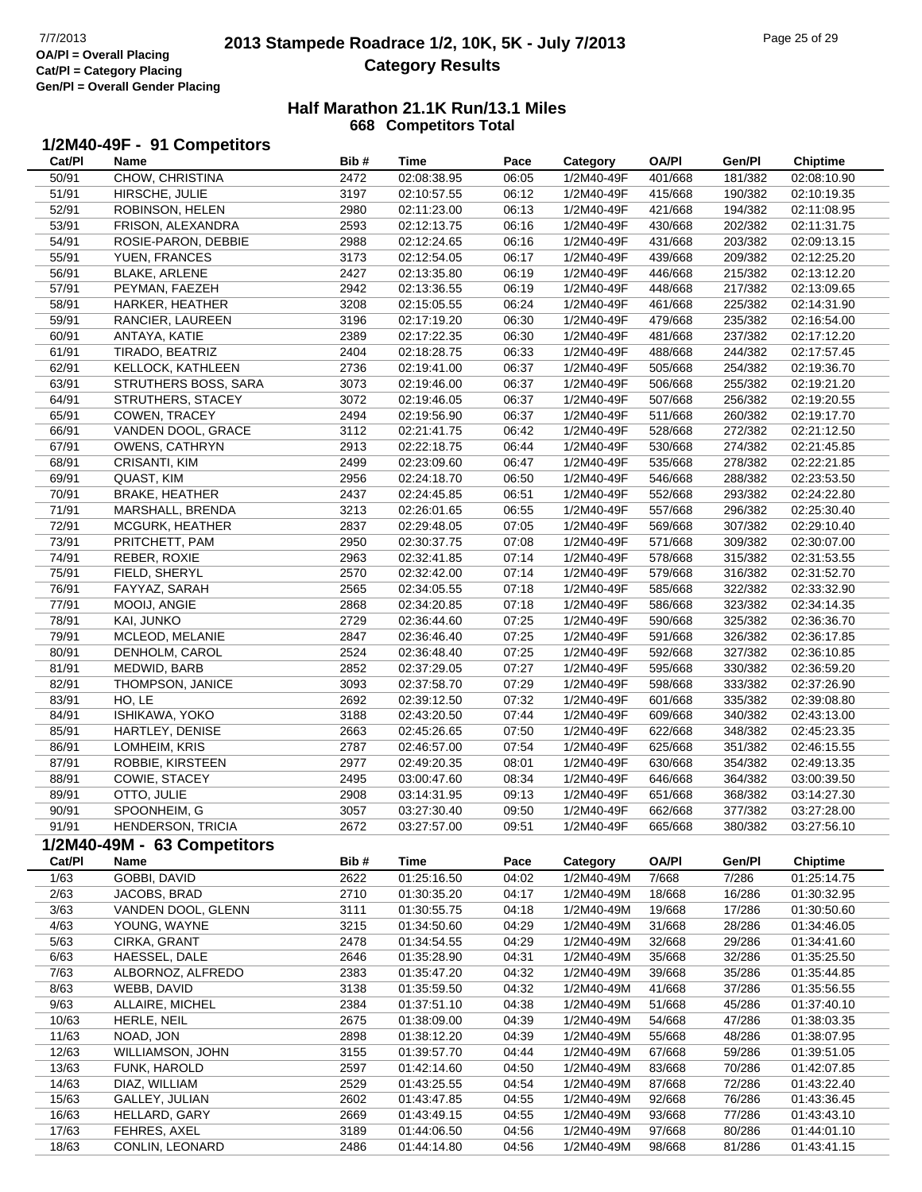# **2013 Stampede Roadrace 1/2, 10K, 5K - July 7/2013** Page 25 of 29 Page 25 of 29 **Category Results**

#### **Half Marathon 21.1K Run/13.1 Miles 668 Competitors Total**

# **1/2M40-49F - 91 Competitors**

| Cat/Pl | Name                        | Bib# | Time                       | Pace  | Category   | OA/PI        | Gen/Pl  | <b>Chiptime</b>            |
|--------|-----------------------------|------|----------------------------|-------|------------|--------------|---------|----------------------------|
| 50/91  | CHOW, CHRISTINA             | 2472 | 02:08:38.95                | 06:05 | 1/2M40-49F | 401/668      | 181/382 | 02:08:10.90                |
| 51/91  | HIRSCHE, JULIE              | 3197 | 02:10:57.55                | 06:12 | 1/2M40-49F | 415/668      | 190/382 | 02:10:19.35                |
| 52/91  | ROBINSON, HELEN             | 2980 | 02:11:23.00                | 06:13 | 1/2M40-49F | 421/668      | 194/382 | 02:11:08.95                |
| 53/91  | FRISON, ALEXANDRA           | 2593 | 02:12:13.75                | 06:16 | 1/2M40-49F | 430/668      | 202/382 | 02:11:31.75                |
| 54/91  | ROSIE-PARON, DEBBIE         | 2988 | 02:12:24.65                | 06:16 | 1/2M40-49F | 431/668      | 203/382 | 02:09:13.15                |
| 55/91  | YUEN, FRANCES               | 3173 | 02:12:54.05                | 06:17 | 1/2M40-49F | 439/668      | 209/382 | 02:12:25.20                |
| 56/91  | <b>BLAKE, ARLENE</b>        | 2427 | 02:13:35.80                | 06:19 | 1/2M40-49F | 446/668      | 215/382 | 02:13:12.20                |
| 57/91  | PEYMAN, FAEZEH              | 2942 | 02:13:36.55                | 06:19 | 1/2M40-49F | 448/668      | 217/382 | 02:13:09.65                |
| 58/91  | HARKER, HEATHER             | 3208 | 02:15:05.55                | 06:24 | 1/2M40-49F | 461/668      | 225/382 | 02:14:31.90                |
| 59/91  | RANCIER, LAUREEN            | 3196 | 02:17:19.20                | 06:30 | 1/2M40-49F | 479/668      | 235/382 | 02:16:54.00                |
| 60/91  | ANTAYA, KATIE               | 2389 | 02:17:22.35                | 06:30 | 1/2M40-49F | 481/668      | 237/382 | 02:17:12.20                |
|        |                             |      |                            |       |            |              |         |                            |
| 61/91  | TIRADO, BEATRIZ             | 2404 | 02:18:28.75                | 06:33 | 1/2M40-49F | 488/668      | 244/382 | 02:17:57.45                |
| 62/91  | KELLOCK, KATHLEEN           | 2736 | 02:19:41.00                | 06:37 | 1/2M40-49F | 505/668      | 254/382 | 02:19:36.70                |
| 63/91  | STRUTHERS BOSS, SARA        | 3073 | 02:19:46.00                | 06:37 | 1/2M40-49F | 506/668      | 255/382 | 02:19:21.20                |
| 64/91  | STRUTHERS, STACEY           | 3072 | 02:19:46.05                | 06:37 | 1/2M40-49F | 507/668      | 256/382 | 02:19:20.55                |
| 65/91  | COWEN, TRACEY               | 2494 | 02:19:56.90                | 06:37 | 1/2M40-49F | 511/668      | 260/382 | 02:19:17.70                |
| 66/91  | VANDEN DOOL, GRACE          | 3112 | 02:21:41.75                | 06:42 | 1/2M40-49F | 528/668      | 272/382 | 02:21:12.50                |
| 67/91  | <b>OWENS, CATHRYN</b>       | 2913 | 02:22:18.75                | 06:44 | 1/2M40-49F | 530/668      | 274/382 | 02:21:45.85                |
| 68/91  | CRISANTI, KIM               | 2499 | 02:23:09.60                | 06:47 | 1/2M40-49F | 535/668      | 278/382 | 02:22:21.85                |
| 69/91  | QUAST, KIM                  | 2956 | 02:24:18.70                | 06:50 | 1/2M40-49F | 546/668      | 288/382 | 02:23:53.50                |
| 70/91  | <b>BRAKE, HEATHER</b>       | 2437 | 02:24:45.85                | 06:51 | 1/2M40-49F | 552/668      | 293/382 | 02:24:22.80                |
| 71/91  | MARSHALL, BRENDA            | 3213 | 02:26:01.65                | 06:55 | 1/2M40-49F | 557/668      | 296/382 | 02:25:30.40                |
| 72/91  | <b>MCGURK, HEATHER</b>      | 2837 | 02:29:48.05                | 07:05 | 1/2M40-49F | 569/668      | 307/382 | 02:29:10.40                |
| 73/91  | PRITCHETT, PAM              | 2950 | 02:30:37.75                | 07:08 | 1/2M40-49F | 571/668      | 309/382 | 02:30:07.00                |
| 74/91  | REBER, ROXIE                | 2963 | 02:32:41.85                | 07:14 | 1/2M40-49F | 578/668      | 315/382 | 02:31:53.55                |
| 75/91  | FIELD, SHERYL               | 2570 | 02:32:42.00                | 07:14 | 1/2M40-49F | 579/668      | 316/382 | 02:31:52.70                |
| 76/91  | FAYYAZ, SARAH               | 2565 | 02:34:05.55                | 07:18 | 1/2M40-49F | 585/668      | 322/382 | 02:33:32.90                |
| 77/91  | MOOIJ, ANGIE                | 2868 | 02:34:20.85                | 07:18 | 1/2M40-49F | 586/668      | 323/382 | 02:34:14.35                |
| 78/91  | KAI, JUNKO                  | 2729 | 02:36:44.60                | 07:25 | 1/2M40-49F | 590/668      | 325/382 | 02:36:36.70                |
| 79/91  | MCLEOD, MELANIE             | 2847 | 02:36:46.40                | 07:25 | 1/2M40-49F | 591/668      | 326/382 | 02:36:17.85                |
| 80/91  | DENHOLM, CAROL              | 2524 | 02:36:48.40                | 07:25 | 1/2M40-49F | 592/668      | 327/382 | 02:36:10.85                |
| 81/91  | MEDWID, BARB                | 2852 | 02:37:29.05                | 07:27 | 1/2M40-49F | 595/668      | 330/382 | 02:36:59.20                |
| 82/91  | THOMPSON, JANICE            | 3093 | 02:37:58.70                | 07:29 | 1/2M40-49F | 598/668      | 333/382 | 02:37:26.90                |
| 83/91  | HO, LE                      | 2692 | 02:39:12.50                | 07:32 | 1/2M40-49F | 601/668      | 335/382 | 02:39:08.80                |
| 84/91  | ISHIKAWA, YOKO              | 3188 | 02:43:20.50                | 07:44 | 1/2M40-49F | 609/668      | 340/382 | 02:43:13.00                |
| 85/91  | HARTLEY, DENISE             | 2663 | 02:45:26.65                | 07:50 | 1/2M40-49F | 622/668      | 348/382 | 02:45:23.35                |
| 86/91  | LOMHEIM, KRIS               | 2787 | 02:46:57.00                | 07:54 | 1/2M40-49F | 625/668      | 351/382 | 02:46:15.55                |
| 87/91  | ROBBIE, KIRSTEEN            | 2977 | 02:49:20.35                | 08:01 | 1/2M40-49F | 630/668      | 354/382 | 02:49:13.35                |
| 88/91  | COWIE, STACEY               | 2495 | 03:00:47.60                | 08:34 | 1/2M40-49F | 646/668      | 364/382 | 03:00:39.50                |
| 89/91  | OTTO, JULIE                 | 2908 | 03:14:31.95                | 09:13 | 1/2M40-49F | 651/668      | 368/382 | 03:14:27.30                |
| 90/91  | SPOONHEIM, G                | 3057 | 03:27:30.40                | 09:50 | 1/2M40-49F | 662/668      | 377/382 | 03:27:28.00                |
| 91/91  | HENDERSON, TRICIA           | 2672 | 03:27:57.00                | 09:51 | 1/2M40-49F | 665/668      | 380/382 | 03:27:56.10                |
|        | 1/2M40-49M - 63 Competitors |      |                            |       |            |              |         |                            |
| Cat/PI | Name                        | Bib# | <b>Time</b>                | Pace  | Category   | <b>OA/PI</b> | Gen/Pl  | <b>Chiptime</b>            |
| 1/63   | <b>GOBBI, DAVID</b>         | 2622 | 01:25:16.50                | 04:02 | 1/2M40-49M | 7/668        | 7/286   | 01:25:14.75                |
| 2/63   | JACOBS, BRAD                | 2710 | 01:30:35.20                | 04:17 | 1/2M40-49M | 18/668       | 16/286  | 01:30:32.95                |
| 3/63   | VANDEN DOOL, GLENN          | 3111 | 01:30:55.75                | 04:18 | 1/2M40-49M | 19/668       | 17/286  | 01:30:50.60                |
| 4/63   | YOUNG, WAYNE                | 3215 | 01:34:50.60                | 04:29 | 1/2M40-49M | 31/668       | 28/286  | 01:34:46.05                |
| 5/63   | CIRKA, GRANT                | 2478 |                            | 04:29 | 1/2M40-49M | 32/668       | 29/286  |                            |
| 6/63   | HAESSEL, DALE               | 2646 | 01:34:54.55<br>01:35:28.90 | 04:31 | 1/2M40-49M | 35/668       | 32/286  | 01:34:41.60<br>01:35:25.50 |
| 7/63   | ALBORNOZ, ALFREDO           | 2383 | 01:35:47.20                | 04:32 | 1/2M40-49M | 39/668       | 35/286  | 01:35:44.85                |
|        |                             |      |                            |       |            |              |         |                            |
| 8/63   | WEBB, DAVID                 | 3138 | 01:35:59.50                | 04:32 | 1/2M40-49M | 41/668       | 37/286  | 01:35:56.55                |
| 9/63   | ALLAIRE, MICHEL             | 2384 | 01:37:51.10                | 04:38 | 1/2M40-49M | 51/668       | 45/286  | 01:37:40.10                |
| 10/63  | HERLE, NEIL                 | 2675 | 01:38:09.00                | 04:39 | 1/2M40-49M | 54/668       | 47/286  | 01:38:03.35                |
| 11/63  | NOAD, JON                   | 2898 | 01:38:12.20                | 04:39 | 1/2M40-49M | 55/668       | 48/286  | 01:38:07.95                |
| 12/63  | WILLIAMSON, JOHN            | 3155 | 01:39:57.70                | 04:44 | 1/2M40-49M | 67/668       | 59/286  | 01:39:51.05                |
| 13/63  | FUNK, HAROLD                | 2597 | 01:42:14.60                | 04:50 | 1/2M40-49M | 83/668       | 70/286  | 01:42:07.85                |
| 14/63  | DIAZ, WILLIAM               | 2529 | 01:43:25.55                | 04:54 | 1/2M40-49M | 87/668       | 72/286  | 01:43:22.40                |
| 15/63  | GALLEY, JULIAN              | 2602 | 01:43:47.85                | 04:55 | 1/2M40-49M | 92/668       | 76/286  | 01:43:36.45                |
| 16/63  | HELLARD, GARY               | 2669 | 01:43:49.15                | 04:55 | 1/2M40-49M | 93/668       | 77/286  | 01:43:43.10                |
| 17/63  | FEHRES, AXEL                | 3189 | 01:44:06.50                | 04:56 | 1/2M40-49M | 97/668       | 80/286  | 01:44:01.10                |
| 18/63  | CONLIN, LEONARD             | 2486 | 01:44:14.80                | 04:56 | 1/2M40-49M | 98/668       | 81/286  | 01:43:41.15                |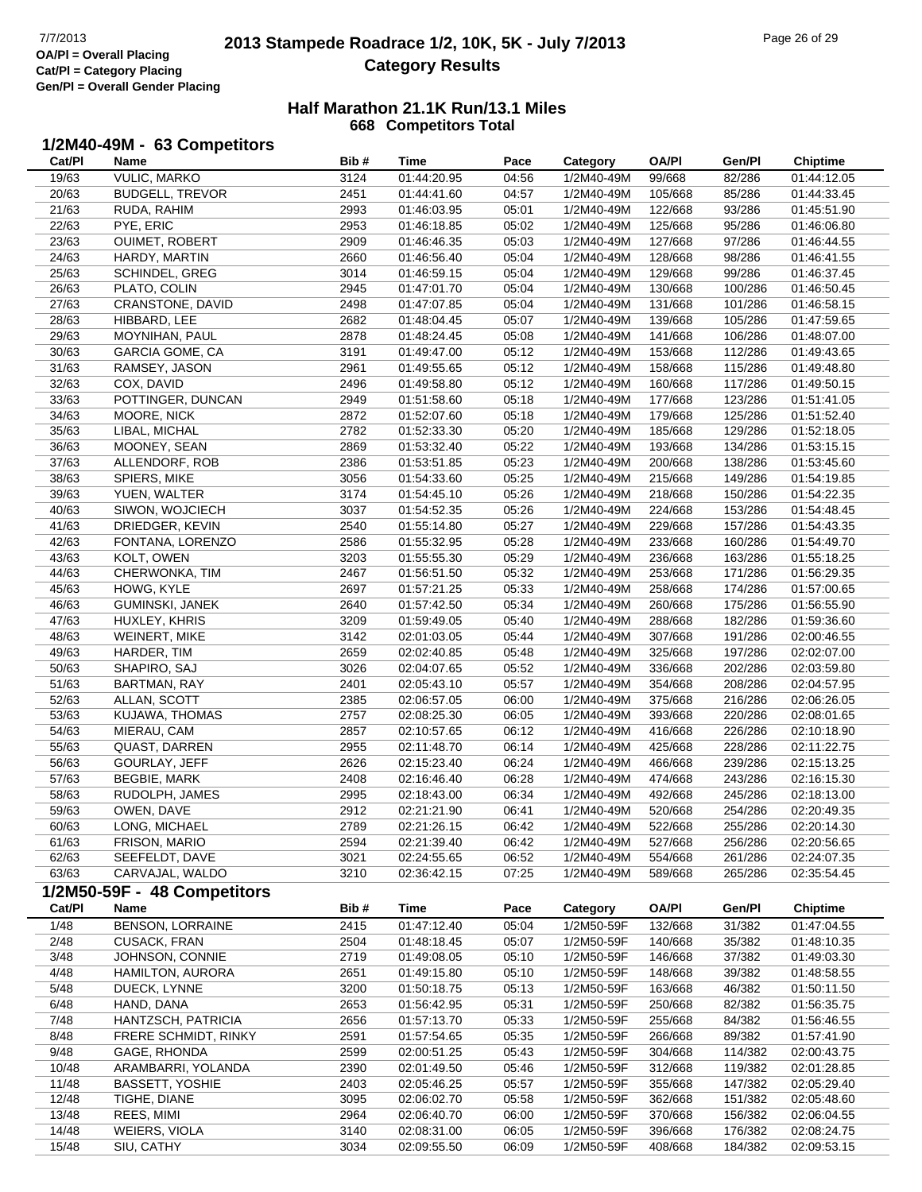# **2013 Stampede Roadrace 1/2, 10K, 5K - July 7/2013** Page 26 of 29 Page 26 of 29 **Category Results**

#### **Half Marathon 21.1K Run/13.1 Miles 668 Competitors Total**

### **1/2M40-49M - 63 Competitors**

| Cat/PI | Name                        | Bib# | <b>Time</b> | Pace  | Category   | <b>OA/PI</b> | Gen/Pl  | <b>Chiptime</b> |
|--------|-----------------------------|------|-------------|-------|------------|--------------|---------|-----------------|
| 19/63  | <b>VULIC, MARKO</b>         | 3124 | 01:44:20.95 | 04:56 | 1/2M40-49M | 99/668       | 82/286  | 01:44:12.05     |
| 20/63  | <b>BUDGELL, TREVOR</b>      | 2451 | 01:44:41.60 | 04:57 | 1/2M40-49M | 105/668      | 85/286  | 01:44:33.45     |
| 21/63  | RUDA, RAHIM                 | 2993 | 01:46:03.95 | 05:01 | 1/2M40-49M | 122/668      | 93/286  | 01:45:51.90     |
| 22/63  | PYE, ERIC                   | 2953 | 01:46:18.85 | 05:02 | 1/2M40-49M | 125/668      | 95/286  | 01:46:06.80     |
| 23/63  | OUIMET, ROBERT              | 2909 | 01:46:46.35 | 05:03 | 1/2M40-49M | 127/668      | 97/286  | 01:46:44.55     |
| 24/63  | HARDY, MARTIN               | 2660 | 01:46:56.40 | 05:04 | 1/2M40-49M | 128/668      | 98/286  | 01:46:41.55     |
| 25/63  | SCHINDEL, GREG              | 3014 | 01:46:59.15 | 05:04 | 1/2M40-49M | 129/668      | 99/286  | 01:46:37.45     |
| 26/63  | PLATO, COLIN                | 2945 | 01:47:01.70 | 05:04 | 1/2M40-49M | 130/668      | 100/286 | 01:46:50.45     |
|        | <b>CRANSTONE, DAVID</b>     | 2498 |             | 05:04 |            |              | 101/286 |                 |
| 27/63  |                             |      | 01:47:07.85 |       | 1/2M40-49M | 131/668      |         | 01:46:58.15     |
| 28/63  | HIBBARD, LEE                | 2682 | 01:48:04.45 | 05:07 | 1/2M40-49M | 139/668      | 105/286 | 01:47:59.65     |
| 29/63  | MOYNIHAN, PAUL              | 2878 | 01:48:24.45 | 05:08 | 1/2M40-49M | 141/668      | 106/286 | 01:48:07.00     |
| 30/63  | GARCIA GOME, CA             | 3191 | 01:49:47.00 | 05:12 | 1/2M40-49M | 153/668      | 112/286 | 01:49:43.65     |
| 31/63  | RAMSEY, JASON               | 2961 | 01:49:55.65 | 05:12 | 1/2M40-49M | 158/668      | 115/286 | 01:49:48.80     |
| 32/63  | COX, DAVID                  | 2496 | 01:49:58.80 | 05:12 | 1/2M40-49M | 160/668      | 117/286 | 01:49:50.15     |
| 33/63  | POTTINGER, DUNCAN           | 2949 | 01:51:58.60 | 05:18 | 1/2M40-49M | 177/668      | 123/286 | 01:51:41.05     |
| 34/63  | MOORE, NICK                 | 2872 | 01:52:07.60 | 05:18 | 1/2M40-49M | 179/668      | 125/286 | 01:51:52.40     |
| 35/63  | LIBAL, MICHAL               | 2782 | 01:52:33.30 | 05:20 | 1/2M40-49M | 185/668      | 129/286 | 01:52:18.05     |
| 36/63  | MOONEY, SEAN                | 2869 | 01:53:32.40 | 05:22 | 1/2M40-49M | 193/668      | 134/286 | 01:53:15.15     |
| 37/63  | ALLENDORF, ROB              | 2386 | 01:53:51.85 | 05:23 | 1/2M40-49M | 200/668      | 138/286 | 01:53:45.60     |
| 38/63  | SPIERS, MIKE                | 3056 | 01:54:33.60 | 05:25 | 1/2M40-49M | 215/668      | 149/286 | 01:54:19.85     |
| 39/63  | YUEN, WALTER                | 3174 | 01:54:45.10 | 05:26 | 1/2M40-49M | 218/668      | 150/286 | 01:54:22.35     |
| 40/63  | SIWON, WOJCIECH             | 3037 | 01:54:52.35 | 05:26 | 1/2M40-49M | 224/668      | 153/286 | 01:54:48.45     |
| 41/63  | DRIEDGER, KEVIN             | 2540 | 01:55:14.80 | 05:27 | 1/2M40-49M | 229/668      | 157/286 | 01:54:43.35     |
| 42/63  | FONTANA, LORENZO            | 2586 | 01:55:32.95 | 05:28 | 1/2M40-49M | 233/668      | 160/286 | 01:54:49.70     |
| 43/63  | KOLT, OWEN                  | 3203 | 01:55:55.30 | 05:29 | 1/2M40-49M | 236/668      | 163/286 | 01:55:18.25     |
| 44/63  | CHERWONKA, TIM              | 2467 | 01:56:51.50 | 05:32 | 1/2M40-49M | 253/668      | 171/286 | 01:56:29.35     |
| 45/63  | HOWG, KYLE                  | 2697 | 01:57:21.25 | 05:33 | 1/2M40-49M | 258/668      | 174/286 | 01:57:00.65     |
| 46/63  | GUMINSKI, JANEK             | 2640 | 01:57:42.50 | 05:34 | 1/2M40-49M | 260/668      | 175/286 | 01:56:55.90     |
| 47/63  | HUXLEY, KHRIS               | 3209 | 01:59:49.05 | 05:40 | 1/2M40-49M | 288/668      | 182/286 | 01:59:36.60     |
| 48/63  | <b>WEINERT, MIKE</b>        | 3142 | 02:01:03.05 | 05:44 | 1/2M40-49M | 307/668      | 191/286 | 02:00:46.55     |
|        |                             |      |             |       |            |              |         |                 |
| 49/63  | HARDER, TIM                 | 2659 | 02:02:40.85 | 05:48 | 1/2M40-49M | 325/668      | 197/286 | 02:02:07.00     |
| 50/63  | SHAPIRO, SAJ                | 3026 | 02:04:07.65 | 05:52 | 1/2M40-49M | 336/668      | 202/286 | 02:03:59.80     |
| 51/63  | <b>BARTMAN, RAY</b>         | 2401 | 02:05:43.10 | 05:57 | 1/2M40-49M | 354/668      | 208/286 | 02:04:57.95     |
| 52/63  | ALLAN, SCOTT                | 2385 | 02:06:57.05 | 06:00 | 1/2M40-49M | 375/668      | 216/286 | 02:06:26.05     |
| 53/63  | KUJAWA, THOMAS              | 2757 | 02:08:25.30 | 06:05 | 1/2M40-49M | 393/668      | 220/286 | 02:08:01.65     |
| 54/63  | MIERAU, CAM                 | 2857 | 02:10:57.65 | 06:12 | 1/2M40-49M | 416/668      | 226/286 | 02:10:18.90     |
| 55/63  | <b>QUAST, DARREN</b>        | 2955 | 02:11:48.70 | 06:14 | 1/2M40-49M | 425/668      | 228/286 | 02:11:22.75     |
| 56/63  | GOURLAY, JEFF               | 2626 | 02:15:23.40 | 06:24 | 1/2M40-49M | 466/668      | 239/286 | 02:15:13.25     |
| 57/63  | <b>BEGBIE, MARK</b>         | 2408 | 02:16:46.40 | 06:28 | 1/2M40-49M | 474/668      | 243/286 | 02:16:15.30     |
| 58/63  | RUDOLPH, JAMES              | 2995 | 02:18:43.00 | 06:34 | 1/2M40-49M | 492/668      | 245/286 | 02:18:13.00     |
| 59/63  | OWEN, DAVE                  | 2912 | 02:21:21.90 | 06:41 | 1/2M40-49M | 520/668      | 254/286 | 02:20:49.35     |
| 60/63  | LONG, MICHAEL               | 2789 | 02:21:26.15 | 06:42 | 1/2M40-49M | 522/668      | 255/286 | 02:20:14.30     |
| 61/63  | FRISON, MARIO               | 2594 | 02:21:39.40 | 06:42 | 1/2M40-49M | 527/668      | 256/286 | 02:20:56.65     |
| 62/63  | SEEFELDT, DAVE              | 3021 | 02:24:55.65 | 06:52 | 1/2M40-49M | 554/668      | 261/286 | 02:24:07.35     |
| 63/63  | CARVAJAL, WALDO             | 3210 | 02:36:42.15 | 07:25 | 1/2M40-49M | 589/668      | 265/286 | 02:35:54.45     |
|        | 1/2M50-59F - 48 Competitors |      |             |       |            |              |         |                 |
| Cat/Pl | Name                        | Bib# | <b>Time</b> | Pace  | Category   | <b>OA/PI</b> | Gen/Pl  | Chiptime        |
| 1/48   | <b>BENSON, LORRAINE</b>     | 2415 | 01:47:12.40 | 05:04 | 1/2M50-59F | 132/668      | 31/382  | 01:47:04.55     |
| 2/48   | CUSACK, FRAN                | 2504 | 01:48:18.45 | 05:07 | 1/2M50-59F | 140/668      | 35/382  | 01:48:10.35     |
| 3/48   | JOHNSON, CONNIE             | 2719 | 01:49:08.05 | 05:10 | 1/2M50-59F | 146/668      | 37/382  | 01:49:03.30     |
| 4/48   | HAMILTON, AURORA            | 2651 | 01:49:15.80 | 05:10 | 1/2M50-59F | 148/668      | 39/382  | 01:48:58.55     |
|        |                             |      |             |       |            |              |         |                 |
| 5/48   | DUECK, LYNNE                | 3200 | 01:50:18.75 | 05:13 | 1/2M50-59F | 163/668      | 46/382  | 01:50:11.50     |
| 6/48   | HAND, DANA                  | 2653 | 01:56:42.95 | 05:31 | 1/2M50-59F | 250/668      | 82/382  | 01:56:35.75     |
| 7/48   | HANTZSCH, PATRICIA          | 2656 | 01:57:13.70 | 05:33 | 1/2M50-59F | 255/668      | 84/382  | 01:56:46.55     |
| 8/48   | FRERE SCHMIDT, RINKY        | 2591 | 01:57:54.65 | 05:35 | 1/2M50-59F | 266/668      | 89/382  | 01:57:41.90     |
| 9/48   | GAGE, RHONDA                | 2599 | 02:00:51.25 | 05:43 | 1/2M50-59F | 304/668      | 114/382 | 02:00:43.75     |
| 10/48  | ARAMBARRI, YOLANDA          | 2390 | 02:01:49.50 | 05:46 | 1/2M50-59F | 312/668      | 119/382 | 02:01:28.85     |
| 11/48  | <b>BASSETT, YOSHIE</b>      | 2403 | 02:05:46.25 | 05:57 | 1/2M50-59F | 355/668      | 147/382 | 02:05:29.40     |
| 12/48  | TIGHE, DIANE                | 3095 | 02:06:02.70 | 05:58 | 1/2M50-59F | 362/668      | 151/382 | 02:05:48.60     |
| 13/48  | REES, MIMI                  | 2964 | 02:06:40.70 | 06:00 | 1/2M50-59F | 370/668      | 156/382 | 02:06:04.55     |
| 14/48  | WEIERS, VIOLA               | 3140 | 02:08:31.00 | 06:05 | 1/2M50-59F | 396/668      | 176/382 | 02:08:24.75     |
| 15/48  | SIU, CATHY                  | 3034 | 02:09:55.50 | 06:09 | 1/2M50-59F | 408/668      | 184/382 | 02:09:53.15     |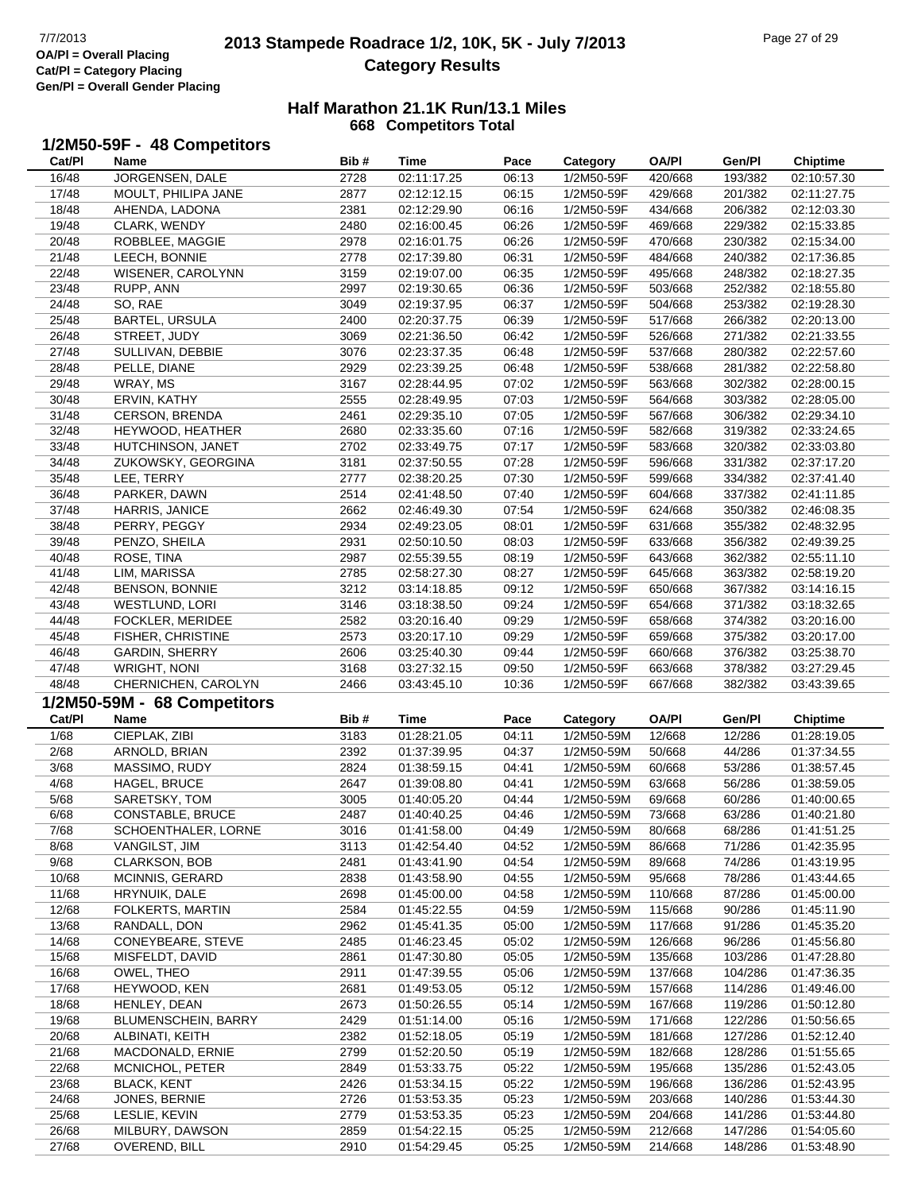# **2013 Stampede Roadrace 1/2, 10K, 5K - July 7/2013** Page 27 of 29 Page 27 of 29 **Category Results**

|  | 1/2M50-59F - 48 Competitors |  |
|--|-----------------------------|--|
|--|-----------------------------|--|

| Cat/PI         | Name                             | Bib#         | Time                       | Pace           | Category                 | <b>OA/PI</b>       | Gen/Pl             | <b>Chiptime</b>            |
|----------------|----------------------------------|--------------|----------------------------|----------------|--------------------------|--------------------|--------------------|----------------------------|
| 16/48          | JORGENSEN, DALE                  | 2728         | 02:11:17.25                | 06:13          | 1/2M50-59F               | 420/668            | 193/382            | 02:10:57.30                |
| 17/48          | MOULT, PHILIPA JANE              | 2877         | 02:12:12.15                | 06:15          | 1/2M50-59F               | 429/668            | 201/382            | 02:11:27.75                |
| 18/48          | AHENDA, LADONA                   | 2381         | 02:12:29.90                | 06:16          | 1/2M50-59F               | 434/668            | 206/382            | 02:12:03.30                |
| 19/48          | CLARK, WENDY                     | 2480         | 02:16:00.45                | 06:26          | 1/2M50-59F               | 469/668            | 229/382            | 02:15:33.85                |
| 20/48          | ROBBLEE, MAGGIE                  | 2978         | 02:16:01.75                | 06:26          | 1/2M50-59F               | 470/668            | 230/382            | 02:15:34.00                |
| 21/48          | LEECH, BONNIE                    | 2778         | 02:17:39.80                | 06:31          | 1/2M50-59F               | 484/668            | 240/382            | 02:17:36.85                |
| 22/48          | WISENER, CAROLYNN                | 3159         | 02:19:07.00                | 06:35          | 1/2M50-59F               | 495/668            | 248/382            | 02:18:27.35                |
| 23/48          | RUPP, ANN                        | 2997         | 02:19:30.65                | 06:36          | 1/2M50-59F               | 503/668            | 252/382            | 02:18:55.80                |
| 24/48          | SO, RAE                          | 3049         | 02:19:37.95                | 06:37          | 1/2M50-59F               | 504/668            | 253/382            | 02:19:28.30                |
| 25/48          | <b>BARTEL, URSULA</b>            | 2400         | 02:20:37.75                | 06:39          | 1/2M50-59F               | 517/668            | 266/382            | 02:20:13.00                |
| 26/48          | STREET, JUDY                     | 3069         | 02:21:36.50                | 06:42          | 1/2M50-59F               | 526/668            | 271/382            | 02:21:33.55                |
| 27/48          | SULLIVAN, DEBBIE                 | 3076         | 02:23:37.35                | 06:48          | 1/2M50-59F               | 537/668            | 280/382            | 02:22:57.60                |
| 28/48          | PELLE, DIANE                     | 2929         | 02:23:39.25                | 06:48          | 1/2M50-59F               | 538/668            | 281/382            | 02:22:58.80                |
| 29/48          | WRAY, MS                         | 3167         | 02:28:44.95                | 07:02          | 1/2M50-59F               | 563/668            | 302/382            | 02:28:00.15                |
| 30/48          | ERVIN, KATHY                     | 2555         | 02:28:49.95                | 07:03          | 1/2M50-59F               | 564/668            | 303/382            | 02:28:05.00                |
| 31/48          | CERSON, BRENDA                   | 2461         | 02:29:35.10                | 07:05          | 1/2M50-59F               | 567/668            | 306/382            | 02:29:34.10                |
| 32/48          | HEYWOOD, HEATHER                 | 2680         | 02:33:35.60                | 07:16          | 1/2M50-59F               | 582/668            | 319/382            | 02:33:24.65                |
| 33/48          | HUTCHINSON, JANET                | 2702         | 02:33:49.75                | 07:17          | 1/2M50-59F               | 583/668            | 320/382            | 02:33:03.80                |
| 34/48          | ZUKOWSKY, GEORGINA               | 3181         | 02:37:50.55                | 07:28          | 1/2M50-59F               | 596/668            | 331/382            | 02:37:17.20                |
| 35/48          | LEE, TERRY                       | 2777         | 02:38:20.25                | 07:30          | 1/2M50-59F               | 599/668            | 334/382            | 02:37:41.40                |
| 36/48          | PARKER, DAWN                     | 2514         | 02:41:48.50                | 07:40          | 1/2M50-59F               | 604/668            | 337/382            | 02:41:11.85                |
| 37/48          | HARRIS, JANICE                   | 2662         | 02:46:49.30                | 07:54          | 1/2M50-59F               | 624/668            | 350/382            | 02:46:08.35                |
| 38/48          | PERRY, PEGGY                     | 2934         | 02:49:23.05                | 08:01          | 1/2M50-59F               | 631/668            | 355/382            | 02:48:32.95                |
| 39/48          | PENZO, SHEILA                    | 2931         | 02:50:10.50                | 08:03          | 1/2M50-59F               | 633/668            | 356/382            | 02:49:39.25                |
| 40/48          | ROSE, TINA                       | 2987         | 02:55:39.55                | 08:19          | 1/2M50-59F               | 643/668            | 362/382            | 02:55:11.10                |
| 41/48          | LIM, MARISSA                     | 2785         | 02:58:27.30                | 08:27          | 1/2M50-59F               | 645/668            | 363/382            | 02:58:19.20                |
| 42/48          | <b>BENSON, BONNIE</b>            | 3212         | 03:14:18.85                | 09:12          | 1/2M50-59F               | 650/668            | 367/382            | 03:14:16.15                |
| 43/48          | WESTLUND, LORI                   | 3146         | 03:18:38.50                | 09:24          | 1/2M50-59F               | 654/668            | 371/382            | 03:18:32.65                |
| 44/48          | FOCKLER, MERIDEE                 | 2582         | 03:20:16.40                | 09:29          | 1/2M50-59F               | 658/668            | 374/382            | 03:20:16.00                |
| 45/48          | FISHER, CHRISTINE                | 2573         | 03:20:17.10                | 09:29          | 1/2M50-59F               | 659/668            | 375/382            | 03:20:17.00                |
| 46/48          | <b>GARDIN, SHERRY</b>            | 2606         | 03:25:40.30                | 09:44          | 1/2M50-59F               | 660/668            | 376/382            | 03:25:38.70                |
| 47/48          | WRIGHT, NONI                     | 3168         | 03:27:32.15                | 09:50          | 1/2M50-59F               | 663/668            | 378/382            | 03:27:29.45                |
| 48/48          | CHERNICHEN, CAROLYN              | 2466         | 03:43:45.10                | 10:36          | 1/2M50-59F               | 667/668            | 382/382            | 03:43:39.65                |
|                | 1/2M50-59M - 68 Competitors      |              |                            |                |                          |                    |                    |                            |
| Cat/PI         | Name                             | Bib#         | <b>Time</b>                | Pace           | Category                 | <b>OA/PI</b>       | Gen/Pl             | <b>Chiptime</b>            |
| 1/68           | CIEPLAK, ZIBI                    | 3183         | 01:28:21.05                | 04:11          | 1/2M50-59M               | 12/668             | 12/286             | 01:28:19.05                |
| 2/68           | ARNOLD, BRIAN                    | 2392         | 01:37:39.95                | 04:37          | 1/2M50-59M               | 50/668             | 44/286             | 01:37:34.55                |
| 3/68           | MASSIMO, RUDY                    | 2824         | 01:38:59.15                | 04:41          | 1/2M50-59M               | 60/668             | 53/286             | 01:38:57.45                |
| 4/68           | HAGEL, BRUCE                     | 2647         | 01:39:08.80                | 04:41          | 1/2M50-59M               | 63/668             | 56/286             | 01:38:59.05                |
| 5/68           | SARETSKY, TOM                    | 3005         |                            |                |                          |                    |                    |                            |
| 6/68           |                                  |              | 01:40:05.20                | 04:44          | 1/2M50-59M               | 69/668             | 60/286             | 01:40:00.65                |
|                | CONSTABLE, BRUCE                 | 2487         | 01:40:40.25                | 04:46          | 1/2M50-59M               | 73/668             | 63/286             | 01:40:21.80                |
| 7/68           | SCHOENTHALER, LORNE              | 3016         | 01:41:58.00                | 04:49          | 1/2M50-59M               | 80/668             | 68/286             | 01:41:51.25                |
| 8/68           | VANGILST, JIM                    | 3113         | 01:42:54.40                | 04:52          | 1/2M50-59M               | 86/668             | 71/286             | 01:42:35.95                |
| 9/68           | CLARKSON, BOB                    | 2481         | 01:43:41.90                | 04:54          | 1/2M50-59M               | 89/668             | 74/286             | 01:43:19.95                |
| 10/68          | MCINNIS, GERARD                  | 2838         | 01:43:58.90                | 04:55          | 1/2M50-59M               | 95/668             | 78/286             | 01:43:44.65                |
| 11/68          | HRYNUIK, DALE                    | 2698         | 01:45:00.00                | 04:58          | 1/2M50-59M               | 110/668            | 87/286             | 01:45:00.00                |
| 12/68          | FOLKERTS, MARTIN                 | 2584         | 01:45:22.55                | 04:59          | 1/2M50-59M               | 115/668            | 90/286             | 01:45:11.90                |
| 13/68          | RANDALL, DON                     | 2962         | 01:45:41.35                | 05:00          | 1/2M50-59M               | 117/668            | 91/286             | 01:45:35.20                |
| 14/68          | CONEYBEARE, STEVE                | 2485         | 01:46:23.45                | 05:02          | 1/2M50-59M               | 126/668            | 96/286             | 01:45:56.80                |
| 15/68          | MISFELDT, DAVID                  | 2861         | 01:47:30.80                | 05:05          | 1/2M50-59M               | 135/668            | 103/286            | 01:47:28.80                |
| 16/68          | OWEL, THEO                       | 2911         | 01:47:39.55                | 05:06          | 1/2M50-59M               | 137/668            | 104/286            | 01:47:36.35                |
| 17/68          | HEYWOOD, KEN                     | 2681         | 01:49:53.05                | 05:12          | 1/2M50-59M               | 157/668            | 114/286            | 01:49:46.00                |
| 18/68          | HENLEY, DEAN                     | 2673         | 01:50:26.55                | 05:14          | 1/2M50-59M               | 167/668            | 119/286            | 01:50:12.80                |
| 19/68          | BLUMENSCHEIN, BARRY              | 2429         | 01:51:14.00                | 05:16          | 1/2M50-59M               | 171/668            | 122/286            | 01:50:56.65                |
| 20/68          | ALBINATI, KEITH                  | 2382         | 01:52:18.05                | 05:19          | 1/2M50-59M               | 181/668            | 127/286            | 01:52:12.40                |
| 21/68          | MACDONALD, ERNIE                 | 2799         | 01:52:20.50                | 05:19          | 1/2M50-59M               | 182/668            | 128/286            | 01:51:55.65                |
| 22/68          | MCNICHOL, PETER                  | 2849         | 01:53:33.75                | 05:22          | 1/2M50-59M               | 195/668            | 135/286            | 01:52:43.05                |
| 23/68          | <b>BLACK, KENT</b>               | 2426         | 01:53:34.15                | 05:22          | 1/2M50-59M               | 196/668            | 136/286            | 01:52:43.95                |
| 24/68          | JONES, BERNIE                    | 2726         | 01:53:53.35                | 05:23          | 1/2M50-59M               | 203/668            | 140/286            | 01:53:44.30                |
| 25/68          | LESLIE, KEVIN                    | 2779         | 01:53:53.35                | 05:23          | 1/2M50-59M               | 204/668            | 141/286            | 01:53:44.80                |
| 26/68<br>27/68 | MILBURY, DAWSON<br>OVEREND, BILL | 2859<br>2910 | 01:54:22.15<br>01:54:29.45 | 05:25<br>05:25 | 1/2M50-59M<br>1/2M50-59M | 212/668<br>214/668 | 147/286<br>148/286 | 01:54:05.60<br>01:53:48.90 |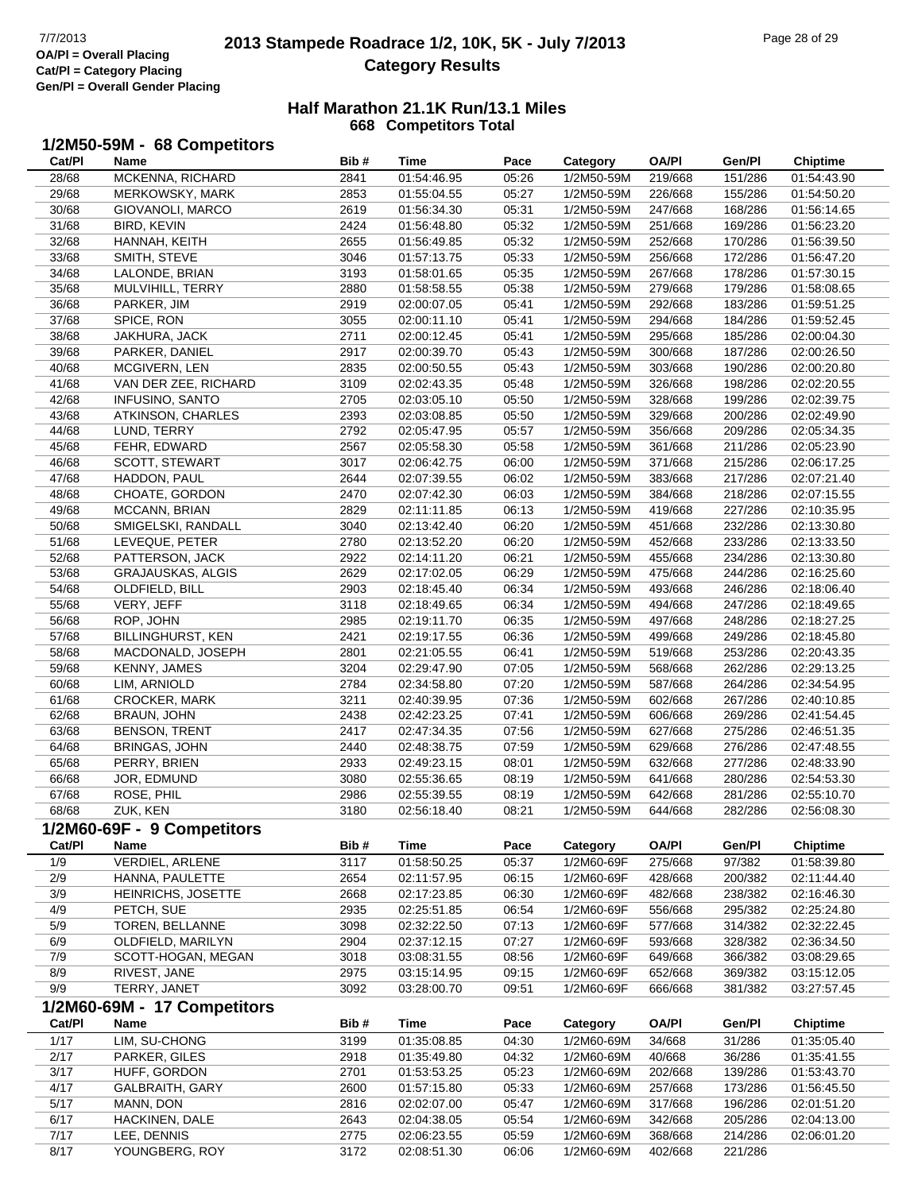# **2013 Stampede Roadrace 1/2, 10K, 5K - July 7/2013** Page 28 of 29 Page 28 of 29 **Category Results**

| 1/2M50-59M - 68 Competitors |  |  |
|-----------------------------|--|--|
|-----------------------------|--|--|

| Cat/Pl         | Name                                | Bib#         | Time                       | Pace           | Category                 | <b>OA/PI</b>       | Gen/Pl             | <b>Chiptime</b>            |
|----------------|-------------------------------------|--------------|----------------------------|----------------|--------------------------|--------------------|--------------------|----------------------------|
| 28/68          | MCKENNA, RICHARD                    | 2841         | 01:54:46.95                | 05:26          | 1/2M50-59M               | 219/668            | 151/286            | 01:54:43.90                |
| 29/68          | MERKOWSKY, MARK                     | 2853         | 01:55:04.55                | 05:27          | 1/2M50-59M               | 226/668            | 155/286            | 01:54:50.20                |
| 30/68          | GIOVANOLI, MARCO                    | 2619         | 01:56:34.30                | 05:31          | 1/2M50-59M               | 247/668            | 168/286            | 01:56:14.65                |
| 31/68          | BIRD, KEVIN                         | 2424         | 01:56:48.80                | 05:32          | 1/2M50-59M               | 251/668            | 169/286            | 01:56:23.20                |
| 32/68          | HANNAH, KEITH                       | 2655         | 01:56:49.85                | 05:32          | 1/2M50-59M               | 252/668            | 170/286            | 01:56:39.50                |
| 33/68          | SMITH, STEVE                        | 3046         | 01:57:13.75                | 05:33          | 1/2M50-59M               | 256/668            | 172/286            | 01:56:47.20                |
| 34/68          | LALONDE, BRIAN                      | 3193         | 01:58:01.65                | 05:35          | 1/2M50-59M               | 267/668            | 178/286            | 01:57:30.15                |
| 35/68          | MULVIHILL, TERRY                    | 2880         | 01:58:58.55                | 05:38          | 1/2M50-59M               | 279/668            | 179/286            | 01:58:08.65                |
| 36/68          | PARKER, JIM                         | 2919         | 02:00:07.05                | 05:41          | 1/2M50-59M               | 292/668            | 183/286            | 01:59:51.25                |
| 37/68          | SPICE, RON                          | 3055         | 02:00:11.10                | 05:41          | 1/2M50-59M               | 294/668            | 184/286            | 01:59:52.45                |
| 38/68          | JAKHURA, JACK                       | 2711         | 02:00:12.45                | 05:41          | 1/2M50-59M               | 295/668            | 185/286            | 02:00:04.30                |
| 39/68          | PARKER, DANIEL                      | 2917         | 02:00:39.70                | 05:43          | 1/2M50-59M               | 300/668            | 187/286            | 02:00:26.50                |
| 40/68          | MCGIVERN, LEN                       | 2835         | 02:00:50.55                | 05:43          | 1/2M50-59M               | 303/668            | 190/286            | 02:00:20.80                |
| 41/68          | VAN DER ZEE, RICHARD                | 3109         | 02:02:43.35                | 05:48          | 1/2M50-59M               | 326/668            | 198/286            | 02:02:20.55                |
| 42/68          | <b>INFUSINO, SANTO</b>              | 2705         | 02:03:05.10                | 05:50          | 1/2M50-59M               | 328/668            | 199/286            | 02:02:39.75                |
| 43/68          | ATKINSON, CHARLES                   | 2393         | 02:03:08.85                | 05:50          | 1/2M50-59M               | 329/668            | 200/286            | 02:02:49.90                |
| 44/68          | LUND, TERRY                         | 2792         | 02:05:47.95                | 05:57          | 1/2M50-59M               | 356/668            | 209/286            | 02:05:34.35                |
| 45/68          | FEHR, EDWARD                        | 2567         | 02:05:58.30                | 05:58          | 1/2M50-59M               | 361/668            | 211/286            | 02:05:23.90                |
| 46/68          | SCOTT, STEWART                      | 3017         | 02:06:42.75                | 06:00          | 1/2M50-59M               | 371/668            | 215/286            | 02:06:17.25                |
| 47/68          | HADDON, PAUL                        | 2644         | 02:07:39.55                | 06:02          | 1/2M50-59M               | 383/668            | 217/286            | 02:07:21.40                |
| 48/68          | CHOATE, GORDON                      | 2470         | 02:07:42.30                | 06:03          | 1/2M50-59M               | 384/668            | 218/286            | 02:07:15.55                |
| 49/68          | MCCANN, BRIAN                       | 2829         | 02:11:11.85                | 06:13          | 1/2M50-59M               | 419/668            | 227/286            | 02:10:35.95                |
| 50/68          | SMIGELSKI, RANDALL                  | 3040         | 02:13:42.40                | 06:20          | 1/2M50-59M               | 451/668            | 232/286            | 02:13:30.80                |
| 51/68          | LEVEQUE, PETER                      | 2780         | 02:13:52.20                | 06:20          | 1/2M50-59M               | 452/668            | 233/286            | 02:13:33.50                |
| 52/68          | PATTERSON, JACK                     | 2922         | 02:14:11.20                | 06:21          | 1/2M50-59M               | 455/668            | 234/286            | 02:13:30.80                |
| 53/68          | <b>GRAJAUSKAS, ALGIS</b>            | 2629         | 02:17:02.05                | 06:29          | 1/2M50-59M               | 475/668            | 244/286            | 02:16:25.60                |
| 54/68          | OLDFIELD, BILL                      | 2903         | 02:18:45.40                | 06:34          | 1/2M50-59M               | 493/668            | 246/286            | 02:18:06.40                |
| 55/68          | VERY, JEFF                          | 3118         | 02:18:49.65                | 06:34          | 1/2M50-59M               | 494/668            | 247/286            | 02:18:49.65                |
| 56/68          | ROP, JOHN                           | 2985         | 02:19:11.70                | 06:35          | 1/2M50-59M               | 497/668            | 248/286            | 02:18:27.25                |
| 57/68          | <b>BILLINGHURST, KEN</b>            | 2421         | 02:19:17.55                | 06:36          | 1/2M50-59M               | 499/668            | 249/286            | 02:18:45.80                |
| 58/68          | MACDONALD, JOSEPH                   | 2801         | 02:21:05.55                | 06:41          | 1/2M50-59M               | 519/668            | 253/286            | 02:20:43.35                |
| 59/68          | KENNY, JAMES                        | 3204         | 02:29:47.90                | 07:05          | 1/2M50-59M               | 568/668            | 262/286            | 02:29:13.25                |
| 60/68          | LIM, ARNIOLD                        | 2784         | 02:34:58.80                | 07:20          | 1/2M50-59M               | 587/668            | 264/286            | 02:34:54.95                |
| 61/68<br>62/68 | CROCKER, MARK<br><b>BRAUN, JOHN</b> | 3211<br>2438 | 02:40:39.95<br>02:42:23.25 | 07:36<br>07:41 | 1/2M50-59M<br>1/2M50-59M | 602/668<br>606/668 | 267/286<br>269/286 | 02:40:10.85<br>02:41:54.45 |
| 63/68          | <b>BENSON, TRENT</b>                | 2417         | 02:47:34.35                | 07:56          | 1/2M50-59M               | 627/668            | 275/286            |                            |
| 64/68          | <b>BRINGAS, JOHN</b>                | 2440         | 02:48:38.75                | 07:59          | 1/2M50-59M               | 629/668            | 276/286            | 02:46:51.35<br>02:47:48.55 |
| 65/68          | PERRY, BRIEN                        | 2933         | 02:49:23.15                | 08:01          | 1/2M50-59M               | 632/668            | 277/286            | 02:48:33.90                |
| 66/68          | JOR, EDMUND                         | 3080         | 02:55:36.65                | 08:19          | 1/2M50-59M               | 641/668            | 280/286            | 02:54:53.30                |
| 67/68          | ROSE, PHIL                          | 2986         | 02:55:39.55                | 08:19          | 1/2M50-59M               | 642/668            | 281/286            | 02:55:10.70                |
| 68/68          | ZUK, KEN                            | 3180         | 02:56:18.40                | 08:21          | 1/2M50-59M               | 644/668            | 282/286            | 02:56:08.30                |
|                | 1/2M60-69F - 9 Competitors          |              |                            |                |                          |                    |                    |                            |
| Cat/PI         | Name                                | Bib#         | Time                       | Pace           | Category                 | <b>OA/PI</b>       | Gen/Pl             | <b>Chiptime</b>            |
| 1/9            | <b>VERDIEL, ARLENE</b>              | 3117         | 01:58:50.25                | 05:37          | 1/2M60-69F               | 275/668            | 97/382             | 01:58:39.80                |
| 2/9            | HANNA, PAULETTE                     | 2654         | 02:11:57.95                | 06:15          | 1/2M60-69F               | 428/668            | 200/382            | 02:11:44.40                |
| $3/9$          | HEINRICHS, JOSETTE                  | 2668         | 02:17:23.85                | 06:30          | 1/2M60-69F               | 482/668            | 238/382            | 02:16:46.30                |
| 4/9            | PETCH, SUE                          | 2935         | 02:25:51.85                | 06:54          | 1/2M60-69F               | 556/668            | 295/382            | 02:25:24.80                |
| 5/9            | TOREN, BELLANNE                     | 3098         | 02:32:22.50                | 07:13          | 1/2M60-69F               | 577/668            | 314/382            | 02:32:22.45                |
| 6/9            | OLDFIELD, MARILYN                   | 2904         | 02:37:12.15                | 07:27          | 1/2M60-69F               | 593/668            | 328/382            | 02:36:34.50                |
| 7/9            | SCOTT-HOGAN, MEGAN                  | 3018         | 03:08:31.55                | 08:56          | 1/2M60-69F               | 649/668            | 366/382            | 03:08:29.65                |
| 8/9            | RIVEST, JANE                        | 2975         | 03:15:14.95                | 09:15          | 1/2M60-69F               | 652/668            | 369/382            | 03:15:12.05                |
| 9/9            | TERRY, JANET                        | 3092         | 03:28:00.70                | 09:51          | 1/2M60-69F               | 666/668            | 381/382            | 03:27:57.45                |
|                | 1/2M60-69M - 17 Competitors         |              |                            |                |                          |                    |                    |                            |
| Cat/PI         | <b>Name</b>                         | Bib#         | <b>Time</b>                | Pace           | Category                 | <b>OA/PI</b>       | Gen/Pl             | <b>Chiptime</b>            |
| 1/17           | LIM, SU-CHONG                       | 3199         | 01:35:08.85                | 04:30          | 1/2M60-69M               | 34/668             | 31/286             | 01:35:05.40                |
| 2/17           | PARKER, GILES                       | 2918         | 01:35:49.80                | 04:32          | 1/2M60-69M               | 40/668             | 36/286             | 01:35:41.55                |
| 3/17           | HUFF, GORDON                        | 2701         | 01:53:53.25                | 05:23          | 1/2M60-69M               | 202/668            | 139/286            | 01:53:43.70                |
| 4/17           | <b>GALBRAITH, GARY</b>              | 2600         | 01:57:15.80                | 05:33          | 1/2M60-69M               | 257/668            | 173/286            | 01:56:45.50                |
| 5/17           | MANN, DON                           | 2816         | 02:02:07.00                | 05:47          | 1/2M60-69M               | 317/668            | 196/286            | 02:01:51.20                |
| 6/17           | HACKINEN, DALE                      | 2643         | 02:04:38.05                | 05:54          | 1/2M60-69M               | 342/668            | 205/286            | 02:04:13.00                |
| 7/17           | LEE, DENNIS                         | 2775         | 02:06:23.55                | 05:59          | 1/2M60-69M               | 368/668            | 214/286            | 02:06:01.20                |
| 8/17           | YOUNGBERG, ROY                      | 3172         | 02:08:51.30                | 06:06          | 1/2M60-69M               | 402/668            | 221/286            |                            |